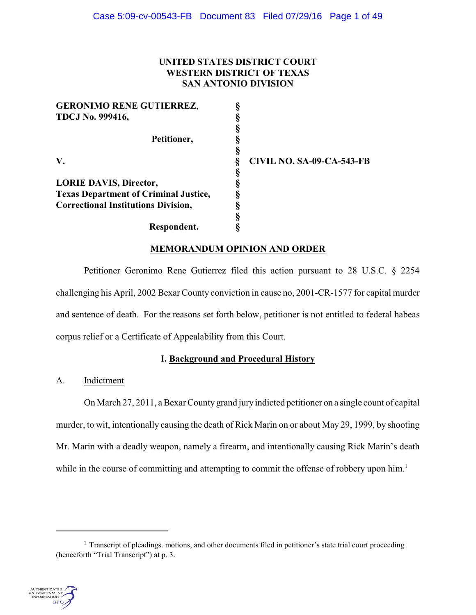# **UNITED STATES DISTRICT COURT WESTERN DISTRICT OF TEXAS SAN ANTONIO DIVISION**

| <b>GERONIMO RENE GUTIERREZ,</b>              |                                  |
|----------------------------------------------|----------------------------------|
| <b>TDCJ No. 999416,</b>                      |                                  |
|                                              |                                  |
| Petitioner,                                  |                                  |
|                                              |                                  |
| V.                                           | <b>CIVIL NO. SA-09-CA-543-FB</b> |
|                                              |                                  |
| <b>LORIE DAVIS, Director,</b>                |                                  |
| <b>Texas Department of Criminal Justice,</b> |                                  |
| <b>Correctional Institutions Division,</b>   |                                  |
|                                              |                                  |
| Respondent.                                  |                                  |

# **MEMORANDUM OPINION AND ORDER**

Petitioner Geronimo Rene Gutierrez filed this action pursuant to 28 U.S.C. § 2254 challenging his April, 2002 Bexar County conviction in cause no, 2001-CR-1577 for capital murder and sentence of death. For the reasons set forth below, petitioner is not entitled to federal habeas corpus relief or a Certificate of Appealability from this Court.

# **I. Background and Procedural History**

A. Indictment

On March 27, 2011, a Bexar County grand jury indicted petitioner on a single count of capital murder, to wit, intentionally causing the death of Rick Marin on or about May 29, 1999, by shooting Mr. Marin with a deadly weapon, namely a firearm, and intentionally causing Rick Marin's death while in the course of committing and attempting to commit the offense of robbery upon him.<sup>1</sup>

 $1$  Transcript of pleadings. motions, and other documents filed in petitioner's state trial court proceeding (henceforth "Trial Transcript") at p. 3.

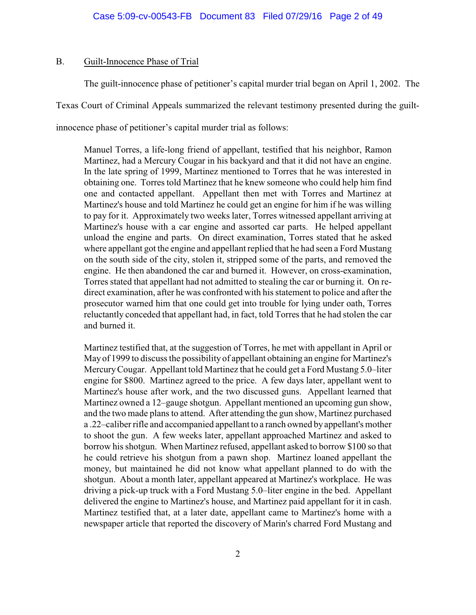## B. Guilt-Innocence Phase of Trial

The guilt-innocence phase of petitioner's capital murder trial began on April 1, 2002. The

Texas Court of Criminal Appeals summarized the relevant testimony presented during the guilt-

innocence phase of petitioner's capital murder trial as follows:

Manuel Torres, a life-long friend of appellant, testified that his neighbor, Ramon Martinez, had a Mercury Cougar in his backyard and that it did not have an engine. In the late spring of 1999, Martinez mentioned to Torres that he was interested in obtaining one. Torres told Martinez that he knew someone who could help him find one and contacted appellant. Appellant then met with Torres and Martinez at Martinez's house and told Martinez he could get an engine for him if he was willing to pay for it. Approximately two weeks later, Torres witnessed appellant arriving at Martinez's house with a car engine and assorted car parts. He helped appellant unload the engine and parts. On direct examination, Torres stated that he asked where appellant got the engine and appellant replied that he had seen a Ford Mustang on the south side of the city, stolen it, stripped some of the parts, and removed the engine. He then abandoned the car and burned it. However, on cross-examination, Torres stated that appellant had not admitted to stealing the car or burning it. On redirect examination, after he was confronted with his statement to police and after the prosecutor warned him that one could get into trouble for lying under oath, Torres reluctantly conceded that appellant had, in fact, told Torres that he had stolen the car and burned it.

Martinez testified that, at the suggestion of Torres, he met with appellant in April or May of 1999 to discuss the possibility of appellant obtaining an engine for Martinez's MercuryCougar. Appellant told Martinez that he could get a Ford Mustang 5.0–liter engine for \$800. Martinez agreed to the price. A few days later, appellant went to Martinez's house after work, and the two discussed guns. Appellant learned that Martinez owned a 12–gauge shotgun. Appellant mentioned an upcoming gun show, and the two made plans to attend. After attending the gun show, Martinez purchased a .22–caliberrifle and accompanied appellant to a ranch owned by appellant's mother to shoot the gun. A few weeks later, appellant approached Martinez and asked to borrow his shotgun. When Martinez refused, appellant asked to borrow \$100 so that he could retrieve his shotgun from a pawn shop. Martinez loaned appellant the money, but maintained he did not know what appellant planned to do with the shotgun. About a month later, appellant appeared at Martinez's workplace. He was driving a pick-up truck with a Ford Mustang 5.0–liter engine in the bed. Appellant delivered the engine to Martinez's house, and Martinez paid appellant for it in cash. Martinez testified that, at a later date, appellant came to Martinez's home with a newspaper article that reported the discovery of Marin's charred Ford Mustang and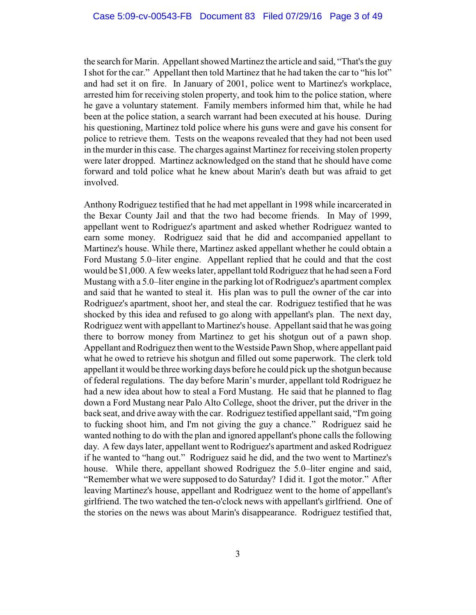the search for Marin. Appellant showed Martinez the article and said, "That's the guy Ishot for the car." Appellant then told Martinez that he had taken the car to "his lot" and had set it on fire. In January of 2001, police went to Martinez's workplace, arrested him for receiving stolen property, and took him to the police station, where he gave a voluntary statement. Family members informed him that, while he had been at the police station, a search warrant had been executed at his house. During his questioning, Martinez told police where his guns were and gave his consent for police to retrieve them. Tests on the weapons revealed that they had not been used in the murder in this case. The charges against Martinez for receiving stolen property were later dropped. Martinez acknowledged on the stand that he should have come forward and told police what he knew about Marin's death but was afraid to get involved.

Anthony Rodriguez testified that he had met appellant in 1998 while incarcerated in the Bexar County Jail and that the two had become friends. In May of 1999, appellant went to Rodriguez's apartment and asked whether Rodriguez wanted to earn some money. Rodriguez said that he did and accompanied appellant to Martinez's house. While there, Martinez asked appellant whether he could obtain a Ford Mustang 5.0–liter engine. Appellant replied that he could and that the cost would be \$1,000. A few weeks later, appellant told Rodriguez that he had seen a Ford Mustang with a 5.0–liter engine in the parking lot of Rodriguez's apartment complex and said that he wanted to steal it. His plan was to pull the owner of the car into Rodriguez's apartment, shoot her, and steal the car. Rodriguez testified that he was shocked by this idea and refused to go along with appellant's plan. The next day, Rodriguez went with appellant to Martinez's house. Appellant said that he was going there to borrow money from Martinez to get his shotgun out of a pawn shop. Appellant and Rodriguez then went to the Westside Pawn Shop, where appellant paid what he owed to retrieve his shotgun and filled out some paperwork. The clerk told appellant it would be three working days before he could pick up the shotgun because of federal regulations. The day before Marin's murder, appellant told Rodriguez he had a new idea about how to steal a Ford Mustang. He said that he planned to flag down a Ford Mustang near Palo Alto College, shoot the driver, put the driver in the back seat, and drive away with the car. Rodriguez testified appellant said, "I'm going to fucking shoot him, and I'm not giving the guy a chance." Rodriguez said he wanted nothing to do with the plan and ignored appellant's phone calls the following day. A few days later, appellant went to Rodriguez's apartment and asked Rodriguez if he wanted to "hang out." Rodriguez said he did, and the two went to Martinez's house. While there, appellant showed Rodriguez the 5.0–liter engine and said, "Remember what we were supposed to do Saturday? I did it. I got the motor." After leaving Martinez's house, appellant and Rodriguez went to the home of appellant's girlfriend. The two watched the ten-o'clock news with appellant's girlfriend. One of the stories on the news was about Marin's disappearance. Rodriguez testified that,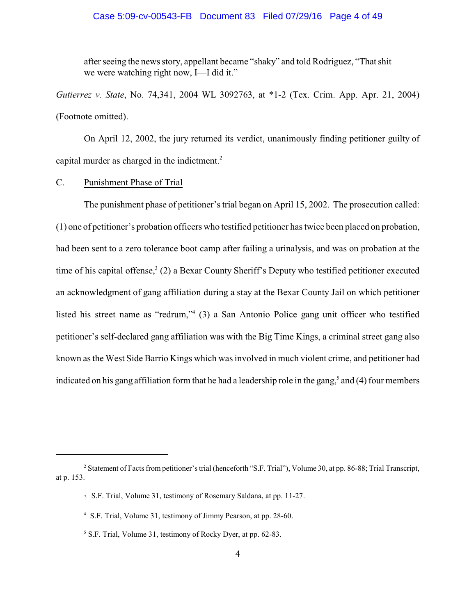#### Case 5:09-cv-00543-FB Document 83 Filed 07/29/16 Page 4 of 49

after seeing the news story, appellant became "shaky" and told Rodriguez, "That shit we were watching right now, I—I did it."

*Gutierrez v. State*, No. 74,341, 2004 WL 3092763, at \*1-2 (Tex. Crim. App. Apr. 21, 2004) (Footnote omitted).

On April 12, 2002, the jury returned its verdict, unanimously finding petitioner guilty of capital murder as charged in the indictment.<sup>2</sup>

#### C. Punishment Phase of Trial

The punishment phase of petitioner's trial began on April 15, 2002. The prosecution called: (1) one of petitioner's probation officers who testified petitioner has twice been placed on probation, had been sent to a zero tolerance boot camp after failing a urinalysis, and was on probation at the time of his capital offense,<sup>3</sup> (2) a Bexar County Sheriff's Deputy who testified petitioner executed an acknowledgment of gang affiliation during a stay at the Bexar County Jail on which petitioner listed his street name as "redrum,"  $(3)$  a San Antonio Police gang unit officer who testified petitioner's self-declared gang affiliation was with the Big Time Kings, a criminal street gang also known as the West Side Barrio Kings which was involved in much violent crime, and petitioner had indicated on his gang affiliation form that he had a leadership role in the gang,<sup>5</sup> and (4) four members

<sup>&</sup>lt;sup>2</sup> Statement of Facts from petitioner's trial (henceforth "S.F. Trial"), Volume 30, at pp. 86-88; Trial Transcript, at p. 153.

<sup>3</sup> S.F. Trial, Volume 31, testimony of Rosemary Saldana, at pp. 11-27.

<sup>&</sup>lt;sup>4</sup> S.F. Trial, Volume 31, testimony of Jimmy Pearson, at pp. 28-60.

<sup>&</sup>lt;sup>5</sup> S.F. Trial, Volume 31, testimony of Rocky Dyer, at pp. 62-83.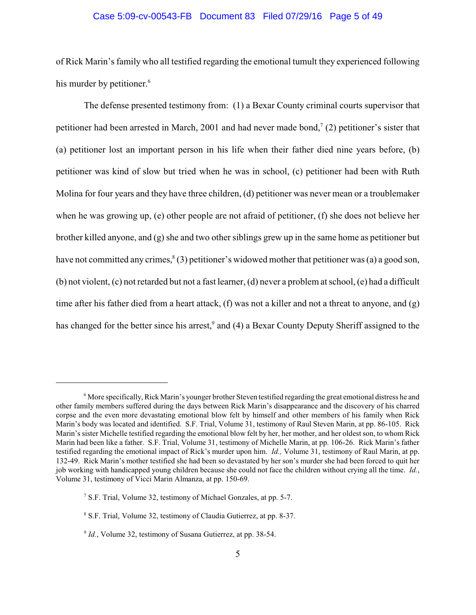# Case 5:09-cv-00543-FB Document 83 Filed 07/29/16 Page 5 of 49

of Rick Marin's family who all testified regarding the emotional tumult they experienced following his murder by petitioner.<sup>6</sup>

The defense presented testimony from: (1) a Bexar County criminal courts supervisor that petitioner had been arrested in March, 2001 and had never made bond,  $(2)$  petitioner's sister that (a) petitioner lost an important person in his life when their father died nine years before, (b) petitioner was kind of slow but tried when he was in school, (c) petitioner had been with Ruth Molina for four years and they have three children, (d) petitioner was never mean or a troublemaker when he was growing up, (e) other people are not afraid of petitioner, (f) she does not believe her brother killed anyone, and  $(g)$  she and two other siblings grew up in the same home as petitioner but have not committed any crimes,  $(3)$  petitioner's widowed mother that petitioner was (a) a good son, (b) not violent, (c) not retarded but not a fast learner, (d) never a problem at school, (e) had a difficult time after his father died from a heart attack, (f) was not a killer and not a threat to anyone, and (g) has changed for the better since his arrest,<sup>9</sup> and (4) a Bexar County Deputy Sheriff assigned to the

 $\delta$  More specifically, Rick Marin's younger brother Steven testified regarding the great emotional distress he and other family members suffered during the days between Rick Marin's disappearance and the discovery of his charred corpse and the even more devastating emotional blow felt by himself and other members of his family when Rick Marin's body was located and identified. S.F. Trial, Volume 31, testimony of Raul Steven Marin, at pp. 86-105. Rick Marin's sister Michelle testified regarding the emotional blow felt by her, her mother, and her oldest son, to whom Rick Marin had been like a father. S.F. Trial, Volume 31, testimony of Michelle Marin, at pp. 106-26. Rick Marin's father testified regarding the emotional impact of Rick's murder upon him. *Id.,* Volume 31, testimony of Raul Marin, at pp. 132-49. Rick Marin's mother testified she had been so devastated by her son's murder she had been forced to quit her job working with handicapped young children because she could not face the children without crying all the time. *Id.*, Volume 31, testimony of Vicci Marin Almanza, at pp. 150-69.

<sup>&</sup>lt;sup>7</sup> S.F. Trial, Volume 32, testimony of Michael Gonzales, at pp. 5-7.

<sup>&</sup>lt;sup>8</sup> S.F. Trial, Volume 32, testimony of Claudia Gutierrez, at pp. 8-37.

<sup>&</sup>lt;sup>9</sup> Id., Volume 32, testimony of Susana Gutierrez, at pp. 38-54.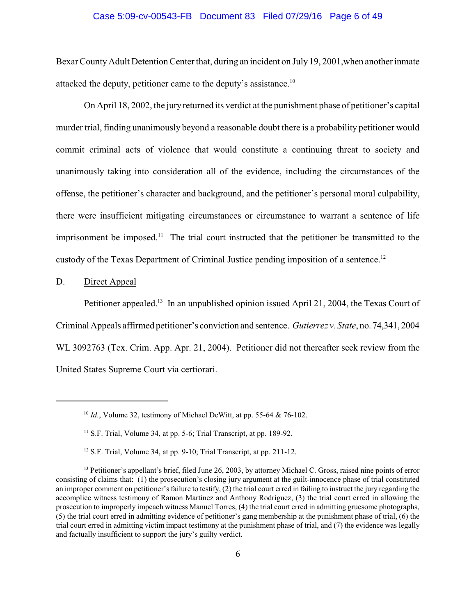#### Case 5:09-cv-00543-FB Document 83 Filed 07/29/16 Page 6 of 49

Bexar County Adult Detention Center that, during an incident on July 19, 2001,when anotherinmate attacked the deputy, petitioner came to the deputy's assistance.<sup>10</sup>

On April 18, 2002, the jury returned its verdict at the punishment phase of petitioner's capital murder trial, finding unanimously beyond a reasonable doubt there is a probability petitioner would commit criminal acts of violence that would constitute a continuing threat to society and unanimously taking into consideration all of the evidence, including the circumstances of the offense, the petitioner's character and background, and the petitioner's personal moral culpability, there were insufficient mitigating circumstances or circumstance to warrant a sentence of life imprisonment be imposed.<sup>11</sup> The trial court instructed that the petitioner be transmitted to the custody of the Texas Department of Criminal Justice pending imposition of a sentence.<sup>12</sup>

D. Direct Appeal

Petitioner appealed.<sup>13</sup> In an unpublished opinion issued April 21, 2004, the Texas Court of Criminal Appeals affirmed petitioner's conviction and sentence. *Gutierrez v. State*, no. 74,341, 2004 WL 3092763 (Tex. Crim. App. Apr. 21, 2004). Petitioner did not thereafter seek review from the United States Supreme Court via certiorari.

 $10$  *Id.*, Volume 32, testimony of Michael DeWitt, at pp. 55-64 & 76-102.

 $11$  S.F. Trial, Volume 34, at pp. 5-6; Trial Transcript, at pp. 189-92.

 $12$  S.F. Trial, Volume 34, at pp. 9-10; Trial Transcript, at pp. 211-12.

<sup>&</sup>lt;sup>13</sup> Petitioner's appellant's brief, filed June 26, 2003, by attorney Michael C. Gross, raised nine points of error consisting of claims that: (1) the prosecution's closing jury argument at the guilt-innocence phase of trial constituted an improper comment on petitioner'sfailure to testify, (2) the trial court erred in failing to instruct the jury regarding the accomplice witness testimony of Ramon Martinez and Anthony Rodriguez, (3) the trial court erred in allowing the prosecution to improperly impeach witness Manuel Torres, (4) the trial court erred in admitting gruesome photographs, (5) the trial court erred in admitting evidence of petitioner's gang membership at the punishment phase of trial, (6) the trial court erred in admitting victim impact testimony at the punishment phase of trial, and (7) the evidence was legally and factually insufficient to support the jury's guilty verdict.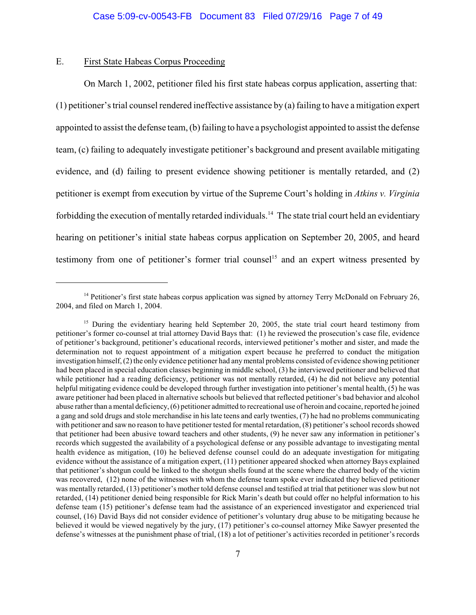## E. First State Habeas Corpus Proceeding

On March 1, 2002, petitioner filed his first state habeas corpus application, asserting that: (1) petitioner's trial counsel rendered ineffective assistance by (a) failing to have a mitigation expert appointed to assist the defense team, (b) failing to have a psychologist appointed to assist the defense team, (c) failing to adequately investigate petitioner's background and present available mitigating evidence, and (d) failing to present evidence showing petitioner is mentally retarded, and (2) petitioner is exempt from execution by virtue of the Supreme Court's holding in *Atkins v. Virginia*  forbidding the execution of mentally retarded individuals.<sup>14</sup> The state trial court held an evidentiary hearing on petitioner's initial state habeas corpus application on September 20, 2005, and heard testimony from one of petitioner's former trial counsel<sup>15</sup> and an expert witness presented by

<sup>&</sup>lt;sup>14</sup> Petitioner's first state habeas corpus application was signed by attorney Terry McDonald on February 26, 2004, and filed on March 1, 2004.

 $15$  During the evidentiary hearing held September 20, 2005, the state trial court heard testimony from petitioner's former co-counsel at trial attorney David Bays that: (1) he reviewed the prosecution's case file, evidence of petitioner's background, petitioner's educational records, interviewed petitioner's mother and sister, and made the determination not to request appointment of a mitigation expert because he preferred to conduct the mitigation investigation himself, (2) the only evidence petitioner had anymental problems consisted of evidence showing petitioner had been placed in special education classes beginning in middle school, (3) he interviewed petitioner and believed that while petitioner had a reading deficiency, petitioner was not mentally retarded, (4) he did not believe any potential helpful mitigating evidence could be developed through further investigation into petitioner's mental health, (5) he was aware petitioner had been placed in alternative schools but believed that reflected petitioner's bad behavior and alcohol abuse rather than a mental deficiency, (6) petitioner admitted to recreational use of heroin and cocaine, reported he joined a gang and sold drugs and stole merchandise in hislate teens and early twenties, (7) he had no problems communicating with petitioner and saw no reason to have petitioner tested for mental retardation, (8) petitioner'sschool records showed that petitioner had been abusive toward teachers and other students, (9) he never saw any information in petitioner's records which suggested the availability of a psychological defense or any possible advantage to investigating mental health evidence as mitigation, (10) he believed defense counsel could do an adequate investigation for mitigating evidence without the assistance of a mitigation expert, (11) petitioner appeared shocked when attorney Bays explained that petitioner's shotgun could be linked to the shotgun shells found at the scene where the charred body of the victim was recovered, (12) none of the witnesses with whom the defense team spoke ever indicated they believed petitioner was mentally retarded, (13) petitioner's mother told defense counsel and testified at trial that petitioner was slow but not retarded, (14) petitioner denied being responsible for Rick Marin's death but could offer no helpful information to his defense team (15) petitioner's defense team had the assistance of an experienced investigator and experienced trial counsel, (16) David Bays did not consider evidence of petitioner's voluntary drug abuse to be mitigating because he believed it would be viewed negatively by the jury, (17) petitioner's co-counsel attorney Mike Sawyer presented the defense's witnesses at the punishment phase of trial, (18) a lot of petitioner's activities recorded in petitioner's records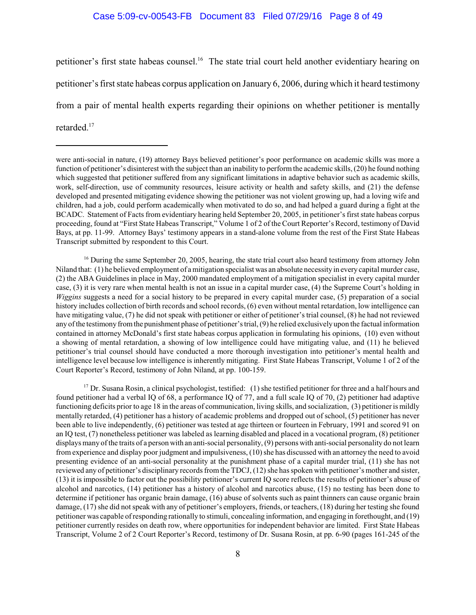petitioner's first state habeas counsel.<sup>16</sup> The state trial court held another evidentiary hearing on petitioner's first state habeas corpus application on January 6, 2006, during which it heard testimony from a pair of mental health experts regarding their opinions on whether petitioner is mentally retarded.<sup>17</sup>

 $^{16}$  During the same September 20, 2005, hearing, the state trial court also heard testimony from attorney John Niland that: (1) he believed employment of a mitigation specialist was an absolute necessity in every capital murder case, (2) the ABA Guidelines in place in May, 2000 mandated employment of a mitigation specialist in every capital murder case, (3) it is very rare when mental health is not an issue in a capital murder case, (4) the Supreme Court's holding in *Wiggins* suggests a need for a social history to be prepared in every capital murder case, (5) preparation of a social history includes collection of birth records and school records, (6) even without mental retardation, low intelligence can have mitigating value, (7) he did not speak with petitioner or either of petitioner'strial counsel, (8) he had not reviewed any of the testimony fromthe punishment phase of petitioner'strial, (9) he relied exclusively upon the factual information contained in attorney McDonald's first state habeas corpus application in formulating his opinions, (10) even without a showing of mental retardation, a showing of low intelligence could have mitigating value, and (11) he believed petitioner's trial counsel should have conducted a more thorough investigation into petitioner's mental health and intelligence level because low intelligence is inherently mitigating. First State Habeas Transcript, Volume 1 of 2 of the Court Reporter's Record, testimony of John Niland, at pp. 100-159.

 $17$  Dr. Susana Rosin, a clinical psychologist, testified: (1) she testified petitioner for three and a half hours and found petitioner had a verbal IQ of 68, a performance IQ of 77, and a full scale IQ of 70, (2) petitioner had adaptive functioning deficits prior to age 18 in the areas of communication, living skills, and socialization, (3) petitioner is mildly mentally retarded, (4) petitioner has a history of academic problems and dropped out of school, (5) petitioner has never been able to live independently, (6) petitioner was tested at age thirteen or fourteen in February, 1991 and scored 91 on an IQ test, (7) nonetheless petitioner was labeled as learning disabled and placed in a vocational program, (8) petitioner displays many of the traits of a person with an anti-social personality, (9) persons with anti-social personality do not learn from experience and display poor judgment and impulsiveness, (10) she has discussed with an attorney the need to avoid presenting evidence of an anti-social personality at the punishment phase of a capital murder trial, (11) she has not reviewed any of petitioner's disciplinary records from the TDCJ, (12) she has spoken with petitioner's mother and sister, (13) it is impossible to factor out the possibility petitioner's current IQ score reflects the results of petitioner's abuse of alcohol and narcotics, (14) petitioner has a history of alcohol and narcotics abuse, (15) no testing has been done to determine if petitioner has organic brain damage, (16) abuse of solvents such as paint thinners can cause organic brain damage, (17) she did not speak with any of petitioner's employers, friends, or teachers, (18) during her testing she found petitioner was capable of responding rationally to stimuli, concealing information, and engaging in forethought, and (19) petitioner currently resides on death row, where opportunities for independent behavior are limited. First State Habeas Transcript, Volume 2 of 2 Court Reporter's Record, testimony of Dr. Susana Rosin, at pp. 6-90 (pages 161-245 of the

were anti-social in nature, (19) attorney Bays believed petitioner's poor performance on academic skills was more a function of petitioner's disinterest with the subject than an inability to perform the academic skills, (20) he found nothing which suggested that petitioner suffered from any significant limitations in adaptive behavior such as academic skills, work, self-direction, use of community resources, leisure activity or health and safety skills, and (21) the defense developed and presented mitigating evidence showing the petitioner was not violent growing up, had a loving wife and children, had a job, could perform academically when motivated to do so, and had helped a guard during a fight at the BCADC. Statement of Facts from evidentiary hearing held September 20, 2005, in petitioner's first state habeas corpus proceeding, found at "First State Habeas Transcript," Volume 1 of 2 of the Court Reporter's Record, testimony of David Bays, at pp. 11-99. Attorney Bays' testimony appears in a stand-alone volume from the rest of the First State Habeas Transcript submitted by respondent to this Court.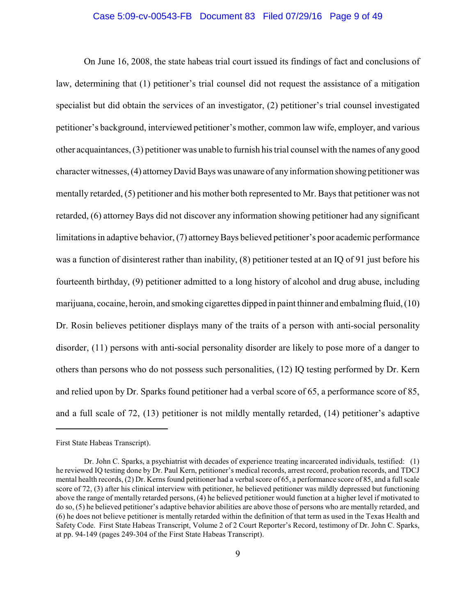# Case 5:09-cv-00543-FB Document 83 Filed 07/29/16 Page 9 of 49

On June 16, 2008, the state habeas trial court issued its findings of fact and conclusions of law, determining that (1) petitioner's trial counsel did not request the assistance of a mitigation specialist but did obtain the services of an investigator, (2) petitioner's trial counsel investigated petitioner's background, interviewed petitioner's mother, common law wife, employer, and various other acquaintances, (3) petitioner was unable to furnish his trial counsel with the names of anygood character witnesses, (4) attorneyDavid Bays was unaware of anyinformation showing petitioner was mentally retarded, (5) petitioner and his mother both represented to Mr. Bays that petitioner was not retarded, (6) attorney Bays did not discover any information showing petitioner had any significant limitations in adaptive behavior, (7) attorneyBays believed petitioner's poor academic performance was a function of disinterest rather than inability, (8) petitioner tested at an IQ of 91 just before his fourteenth birthday, (9) petitioner admitted to a long history of alcohol and drug abuse, including marijuana, cocaine, heroin, and smoking cigarettes dipped in paint thinner and embalming fluid, (10) Dr. Rosin believes petitioner displays many of the traits of a person with anti-social personality disorder, (11) persons with anti-social personality disorder are likely to pose more of a danger to others than persons who do not possess such personalities, (12) IQ testing performed by Dr. Kern and relied upon by Dr. Sparks found petitioner had a verbal score of 65, a performance score of 85, and a full scale of 72, (13) petitioner is not mildly mentally retarded, (14) petitioner's adaptive

First State Habeas Transcript).

Dr. John C. Sparks, a psychiatrist with decades of experience treating incarcerated individuals, testified: (1) he reviewed IQ testing done by Dr. Paul Kern, petitioner's medical records, arrest record, probation records, and TDCJ mental health records, (2) Dr. Kerns found petitioner had a verbal score of 65, a performance score of 85, and a full scale score of 72, (3) after his clinical interview with petitioner, he believed petitioner was mildly depressed but functioning above the range of mentally retarded persons, (4) he believed petitioner would function at a higher level if motivated to do so, (5) he believed petitioner's adaptive behavior abilities are above those of persons who are mentally retarded, and (6) he does not believe petitioner is mentally retarded within the definition of that term as used in the Texas Health and Safety Code. First State Habeas Transcript, Volume 2 of 2 Court Reporter's Record, testimony of Dr. John C. Sparks, at pp. 94-149 (pages 249-304 of the First State Habeas Transcript).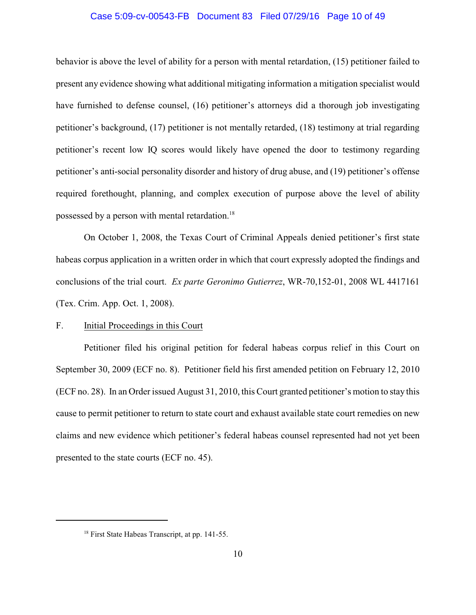#### Case 5:09-cv-00543-FB Document 83 Filed 07/29/16 Page 10 of 49

behavior is above the level of ability for a person with mental retardation, (15) petitioner failed to present any evidence showing what additional mitigating information a mitigation specialist would have furnished to defense counsel, (16) petitioner's attorneys did a thorough job investigating petitioner's background, (17) petitioner is not mentally retarded, (18) testimony at trial regarding petitioner's recent low IQ scores would likely have opened the door to testimony regarding petitioner's anti-social personality disorder and history of drug abuse, and (19) petitioner's offense required forethought, planning, and complex execution of purpose above the level of ability possessed by a person with mental retardation.<sup>18</sup>

On October 1, 2008, the Texas Court of Criminal Appeals denied petitioner's first state habeas corpus application in a written order in which that court expressly adopted the findings and conclusions of the trial court. *Ex parte Geronimo Gutierrez*, WR-70,152-01, 2008 WL 4417161 (Tex. Crim. App. Oct. 1, 2008).

#### F. Initial Proceedings in this Court

Petitioner filed his original petition for federal habeas corpus relief in this Court on September 30, 2009 (ECF no. 8). Petitioner field his first amended petition on February 12, 2010 (ECF no. 28). In an Order issued August 31, 2010, this Court granted petitioner's motion to stay this cause to permit petitioner to return to state court and exhaust available state court remedies on new claims and new evidence which petitioner's federal habeas counsel represented had not yet been presented to the state courts (ECF no. 45).

 $18$  First State Habeas Transcript, at pp. 141-55.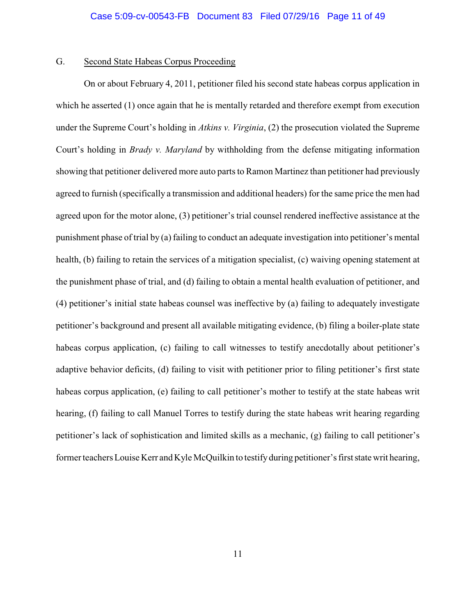## G. Second State Habeas Corpus Proceeding

On or about February 4, 2011, petitioner filed his second state habeas corpus application in which he asserted (1) once again that he is mentally retarded and therefore exempt from execution under the Supreme Court's holding in *Atkins v. Virginia*, (2) the prosecution violated the Supreme Court's holding in *Brady v. Maryland* by withholding from the defense mitigating information showing that petitioner delivered more auto parts to Ramon Martinez than petitioner had previously agreed to furnish (specifically a transmission and additional headers) for the same price the men had agreed upon for the motor alone, (3) petitioner's trial counsel rendered ineffective assistance at the punishment phase of trial by (a) failing to conduct an adequate investigation into petitioner's mental health, (b) failing to retain the services of a mitigation specialist, (c) waiving opening statement at the punishment phase of trial, and (d) failing to obtain a mental health evaluation of petitioner, and (4) petitioner's initial state habeas counsel was ineffective by (a) failing to adequately investigate petitioner's background and present all available mitigating evidence, (b) filing a boiler-plate state habeas corpus application, (c) failing to call witnesses to testify anecdotally about petitioner's adaptive behavior deficits, (d) failing to visit with petitioner prior to filing petitioner's first state habeas corpus application, (e) failing to call petitioner's mother to testify at the state habeas writ hearing, (f) failing to call Manuel Torres to testify during the state habeas writ hearing regarding petitioner's lack of sophistication and limited skills as a mechanic, (g) failing to call petitioner's formerteachers Louise Kerr and Kyle McQuilkin to testifyduring petitioner's first state writ hearing,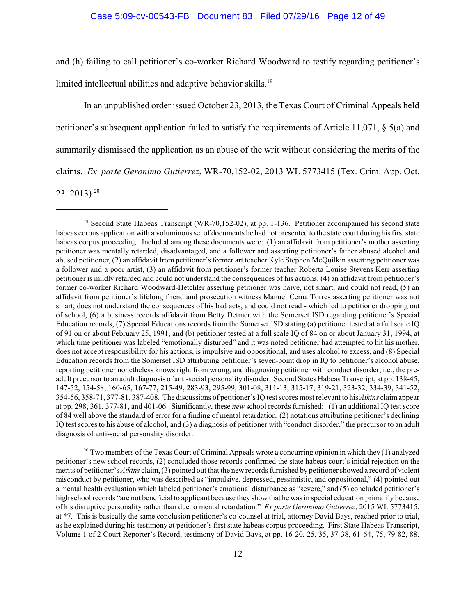and (h) failing to call petitioner's co-worker Richard Woodward to testify regarding petitioner's

limited intellectual abilities and adaptive behavior skills.<sup>19</sup>

In an unpublished order issued October 23, 2013, the Texas Court of Criminal Appeals held petitioner's subsequent application failed to satisfy the requirements of Article 11,071, § 5(a) and summarily dismissed the application as an abuse of the writ without considering the merits of the claims. *Ex parte Geronimo Gutierrez*, WR-70,152-02, 2013 WL 5773415 (Tex. Crim. App. Oct. 23. 2013). $20$ 

 $20$  Two members of the Texas Court of Criminal Appeals wrote a concurring opinion in which they (1) analyzed petitioner's new school records, (2) concluded those records confirmed the state habeas court's initial rejection on the merits of petitioner's *Atkins* claim, (3) pointed out that the newrecords furnished by petitioner showed a record of violent misconduct by petitioner, who was described as "impulsive, depressed, pessimistic, and oppositional," (4) pointed out a mental health evaluation which labeled petitioner's emotional disturbance as "severe," and (5) concluded petitioner's high school records "are not beneficial to applicant because they show that he was in special education primarily because of his disruptive personality rather than due to mental retardation." *Ex parte Geronimo Gutierrez*, 2015 WL 5773415, at \*7. This is basically the same conclusion petitioner's co-counsel at trial, attorney David Bays, reached prior to trial, as he explained during his testimony at petitioner's first state habeas corpus proceeding. First State Habeas Transcript, Volume 1 of 2 Court Reporter's Record, testimony of David Bays, at pp. 16-20, 25, 35, 37-38, 61-64, 75, 79-82, 88.

<sup>&</sup>lt;sup>19</sup> Second State Habeas Transcript (WR-70,152-02), at pp. 1-136. Petitioner accompanied his second state habeas corpus application with a voluminous set of documents he had not presented to the state court during his first state habeas corpus proceeding. Included among these documents were: (1) an affidavit from petitioner's mother asserting petitioner was mentally retarded, disadvantaged, and a follower and asserting petitioner's father abused alcohol and abused petitioner, (2) an affidavit from petitioner'sformer art teacher Kyle Stephen McQuilkin asserting petitioner was a follower and a poor artist, (3) an affidavit from petitioner's former teacher Roberta Louise Stevens Kerr asserting petitioner is mildly retarded and could not understand the consequences of his actions, (4) an affidavit from petitioner's former co-worker Richard Woodward-Hetchler asserting petitioner was naive, not smart, and could not read, (5) an affidavit from petitioner's lifelong friend and prosecution witness Manuel Cerna Torres asserting petitioner was not smart, does not understand the consequences of his bad acts, and could not read - which led to petitioner dropping out of school, (6) a business records affidavit from Betty Detmer with the Somerset ISD regarding petitioner's Special Education records, (7) Special Educations records from the Somerset ISD stating (a) petitioner tested at a full scale IQ of 91 on or about February 25, 1991, and (b) petitioner tested at a full scale IQ of 84 on or about January 31, 1994, at which time petitioner was labeled "emotionally disturbed" and it was noted petitioner had attempted to hit his mother, does not accept responsibility for his actions, is impulsive and oppositional, and uses alcohol to excess, and (8) Special Education records from the Somerset ISD attributing petitioner's seven-point drop in IQ to petitioner's alcohol abuse, reporting petitioner nonetheless knows right from wrong, and diagnosing petitioner with conduct disorder, i.e., the preadult precursor to an adult diagnosis of anti-social personality disorder. Second States Habeas Transcript, at pp. 138-45, 147-52, 154-58, 160-65, 167-77, 215-49, 283-93, 295-99, 301-08, 311-13, 315-17, 319-21, 323-32, 334-39, 341-52, 354-56, 358-71, 377-81, 387-408. The discussions of petitioner'sIQ test scores most relevant to his *Atkins* claimappear at pp. 298, 361, 377-81, and 401-06. Significantly, these *new* school records furnished: (1) an additional IQ test score of 84 well above the standard of error for a finding of mental retardation, (2) notations attributing petitioner's declining IQ test scores to his abuse of alcohol, and (3) a diagnosis of petitioner with "conduct disorder," the precursor to an adult diagnosis of anti-social personality disorder.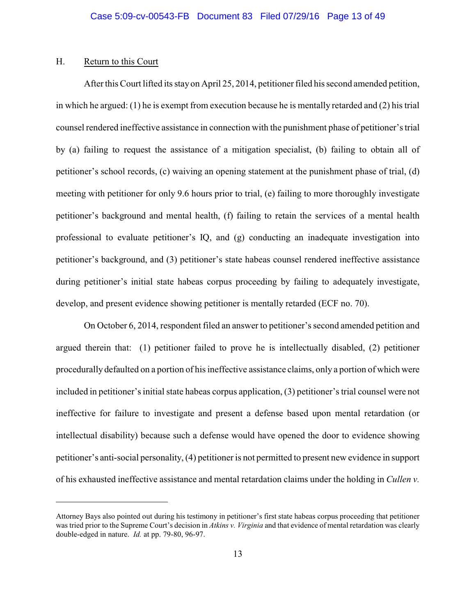# H. Return to this Court

Afterthis Court lifted its stayon April 25, 2014, petitioner filed his second amended petition, in which he argued: (1) he is exempt from execution because he is mentally retarded and (2) his trial counsel rendered ineffective assistance in connection with the punishment phase of petitioner's trial by (a) failing to request the assistance of a mitigation specialist, (b) failing to obtain all of petitioner's school records, (c) waiving an opening statement at the punishment phase of trial, (d) meeting with petitioner for only 9.6 hours prior to trial, (e) failing to more thoroughly investigate petitioner's background and mental health, (f) failing to retain the services of a mental health professional to evaluate petitioner's IQ, and (g) conducting an inadequate investigation into petitioner's background, and (3) petitioner's state habeas counsel rendered ineffective assistance during petitioner's initial state habeas corpus proceeding by failing to adequately investigate, develop, and present evidence showing petitioner is mentally retarded (ECF no. 70).

On October 6, 2014, respondent filed an answer to petitioner's second amended petition and argued therein that: (1) petitioner failed to prove he is intellectually disabled, (2) petitioner procedurally defaulted on a portion of his ineffective assistance claims, only a portion of which were included in petitioner's initial state habeas corpus application, (3) petitioner's trial counsel were not ineffective for failure to investigate and present a defense based upon mental retardation (or intellectual disability) because such a defense would have opened the door to evidence showing petitioner's anti-social personality, (4) petitioner is not permitted to present new evidence in support of his exhausted ineffective assistance and mental retardation claims under the holding in *Cullen v.*

Attorney Bays also pointed out during his testimony in petitioner's first state habeas corpus proceeding that petitioner was tried prior to the Supreme Court's decision in *Atkins v. Virginia* and that evidence of mental retardation was clearly double-edged in nature. *Id.* at pp. 79-80, 96-97.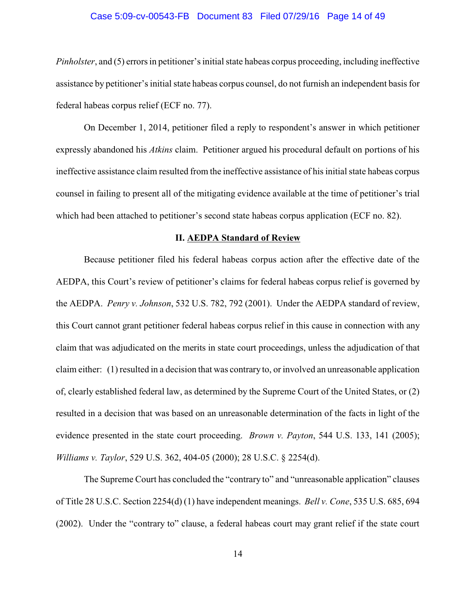#### Case 5:09-cv-00543-FB Document 83 Filed 07/29/16 Page 14 of 49

*Pinholster*, and (5) errors in petitioner's initial state habeas corpus proceeding, including ineffective assistance by petitioner's initial state habeas corpus counsel, do not furnish an independent basis for federal habeas corpus relief (ECF no. 77).

On December 1, 2014, petitioner filed a reply to respondent's answer in which petitioner expressly abandoned his *Atkins* claim. Petitioner argued his procedural default on portions of his ineffective assistance claim resulted from the ineffective assistance of his initial state habeas corpus counsel in failing to present all of the mitigating evidence available at the time of petitioner's trial which had been attached to petitioner's second state habeas corpus application (ECF no. 82).

#### **II. AEDPA Standard of Review**

Because petitioner filed his federal habeas corpus action after the effective date of the AEDPA, this Court's review of petitioner's claims for federal habeas corpus relief is governed by the AEDPA. *Penry v. Johnson*, 532 U.S. 782, 792 (2001). Under the AEDPA standard of review, this Court cannot grant petitioner federal habeas corpus relief in this cause in connection with any claim that was adjudicated on the merits in state court proceedings, unless the adjudication of that claim either: (1) resulted in a decision that was contrary to, or involved an unreasonable application of, clearly established federal law, as determined by the Supreme Court of the United States, or (2) resulted in a decision that was based on an unreasonable determination of the facts in light of the evidence presented in the state court proceeding. *Brown v. Payton*, 544 U.S. 133, 141 (2005); *Williams v. Taylor*, 529 U.S. 362, 404-05 (2000); 28 U.S.C. § 2254(d).

The Supreme Court has concluded the "contrary to" and "unreasonable application" clauses of Title 28 U.S.C. Section 2254(d) (1) have independent meanings. *Bell v. Cone*, 535 U.S. 685, 694 (2002). Under the "contrary to" clause, a federal habeas court may grant relief if the state court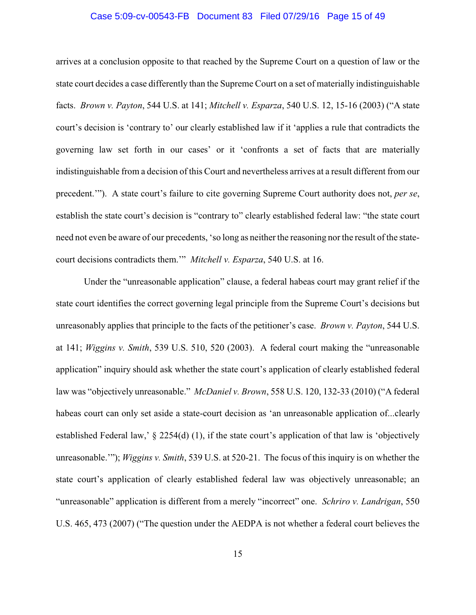#### Case 5:09-cv-00543-FB Document 83 Filed 07/29/16 Page 15 of 49

arrives at a conclusion opposite to that reached by the Supreme Court on a question of law or the state court decides a case differently than the Supreme Court on a set of materially indistinguishable facts. *Brown v. Payton*, 544 U.S. at 141; *Mitchell v. Esparza*, 540 U.S. 12, 15-16 (2003) ("A state court's decision is 'contrary to' our clearly established law if it 'applies a rule that contradicts the governing law set forth in our cases' or it 'confronts a set of facts that are materially indistinguishable from a decision of this Court and nevertheless arrives at a result different from our precedent.'"). A state court's failure to cite governing Supreme Court authority does not, *per se*, establish the state court's decision is "contrary to" clearly established federal law: "the state court need not even be aware of our precedents, 'so long as neither the reasoning nor the result of the statecourt decisions contradicts them.'" *Mitchell v. Esparza*, 540 U.S. at 16.

Under the "unreasonable application" clause, a federal habeas court may grant relief if the state court identifies the correct governing legal principle from the Supreme Court's decisions but unreasonably applies that principle to the facts of the petitioner's case. *Brown v. Payton*, 544 U.S. at 141; *Wiggins v. Smith*, 539 U.S. 510, 520 (2003). A federal court making the "unreasonable application" inquiry should ask whether the state court's application of clearly established federal law was "objectively unreasonable." *McDaniel v. Brown*, 558 U.S. 120, 132-33 (2010) ("A federal habeas court can only set aside a state-court decision as 'an unreasonable application of...clearly established Federal law,' § 2254(d) (1), if the state court's application of that law is 'objectively unreasonable.'"); *Wiggins v. Smith*, 539 U.S. at 520-21. The focus of this inquiry is on whether the state court's application of clearly established federal law was objectively unreasonable; an "unreasonable" application is different from a merely "incorrect" one. *Schriro v. Landrigan*, 550 U.S. 465, 473 (2007) ("The question under the AEDPA is not whether a federal court believes the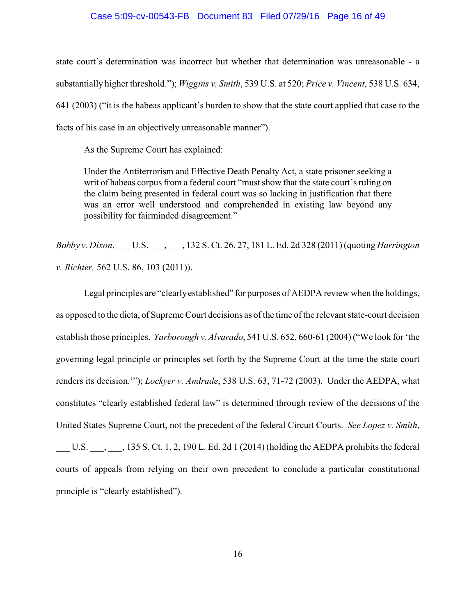#### Case 5:09-cv-00543-FB Document 83 Filed 07/29/16 Page 16 of 49

state court's determination was incorrect but whether that determination was unreasonable - a substantially higher threshold."); *Wiggins v. Smith*, 539 U.S. at 520; *Price v. Vincent*, 538 U.S. 634, 641 (2003) ("it is the habeas applicant's burden to show that the state court applied that case to the facts of his case in an objectively unreasonable manner").

As the Supreme Court has explained:

Under the Antiterrorism and Effective Death Penalty Act, a state prisoner seeking a writ of habeas corpus from a federal court "must show that the state court's ruling on the claim being presented in federal court was so lacking in justification that there was an error well understood and comprehended in existing law beyond any possibility for fairminded disagreement."

*Bobby v. Dixon*, \_\_\_ U.S. \_\_\_, \_\_\_, 132 S. Ct. 26, 27, 181 L. Ed. 2d 328 (2011) (quoting *Harrington v. Richter,* 562 U.S. 86, 103 (2011)).

Legal principles are "clearly established" for purposes of AEDPA review when the holdings, as opposed to the dicta, of Supreme Court decisions as of the time of the relevant state-court decision establish those principles. *Yarborough v. Alvarado*, 541 U.S. 652, 660-61 (2004) ("We look for 'the governing legal principle or principles set forth by the Supreme Court at the time the state court renders its decision.'"); *Lockyer v. Andrade*, 538 U.S. 63, 71-72 (2003). Under the AEDPA, what constitutes "clearly established federal law" is determined through review of the decisions of the United States Supreme Court, not the precedent of the federal Circuit Courts. *See Lopez v. Smith*,

U.S.  $\ldots$ , 135 S. Ct. 1, 2, 190 L. Ed. 2d 1 (2014) (holding the AEDPA prohibits the federal courts of appeals from relying on their own precedent to conclude a particular constitutional principle is "clearly established").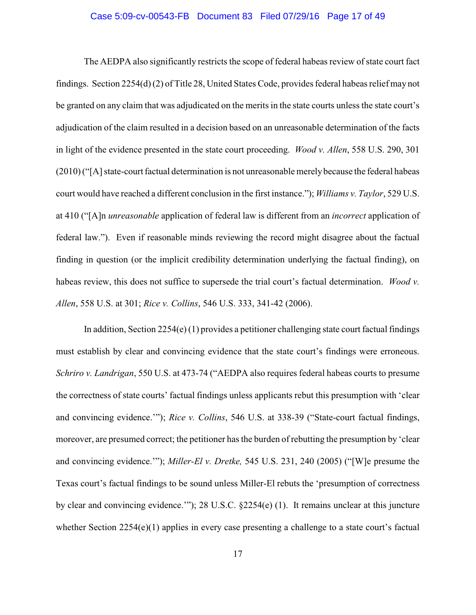#### Case 5:09-cv-00543-FB Document 83 Filed 07/29/16 Page 17 of 49

The AEDPA also significantly restricts the scope of federal habeas review of state court fact findings. Section 2254(d) (2) of Title 28, United States Code, provides federal habeas relief may not be granted on any claim that was adjudicated on the merits in the state courts unless the state court's adjudication of the claim resulted in a decision based on an unreasonable determination of the facts in light of the evidence presented in the state court proceeding. *Wood v. Allen*, 558 U.S. 290, 301 (2010) ("[A] state-court factual determination is not unreasonable merelybecause the federal habeas court would have reached a different conclusion in the first instance."); *Williams v. Taylor*, 529 U.S. at 410 ("[A]n *unreasonable* application of federal law is different from an *incorrect* application of federal law."). Even if reasonable minds reviewing the record might disagree about the factual finding in question (or the implicit credibility determination underlying the factual finding), on habeas review, this does not suffice to supersede the trial court's factual determination. *Wood v. Allen*, 558 U.S. at 301; *Rice v. Collins*, 546 U.S. 333, 341-42 (2006).

In addition, Section 2254(e) (1) provides a petitioner challenging state court factual findings must establish by clear and convincing evidence that the state court's findings were erroneous. *Schriro v. Landrigan*, 550 U.S. at 473-74 ("AEDPA also requires federal habeas courts to presume the correctness of state courts' factual findings unless applicants rebut this presumption with 'clear and convincing evidence.'"); *Rice v. Collins*, 546 U.S. at 338-39 ("State-court factual findings, moreover, are presumed correct; the petitioner has the burden of rebutting the presumption by 'clear and convincing evidence.'"); *Miller-El v. Dretke,* 545 U.S. 231, 240 (2005) ("[W]e presume the Texas court's factual findings to be sound unless Miller-El rebuts the 'presumption of correctness by clear and convincing evidence.'"); 28 U.S.C. §2254(e) (1). It remains unclear at this juncture whether Section 2254(e)(1) applies in every case presenting a challenge to a state court's factual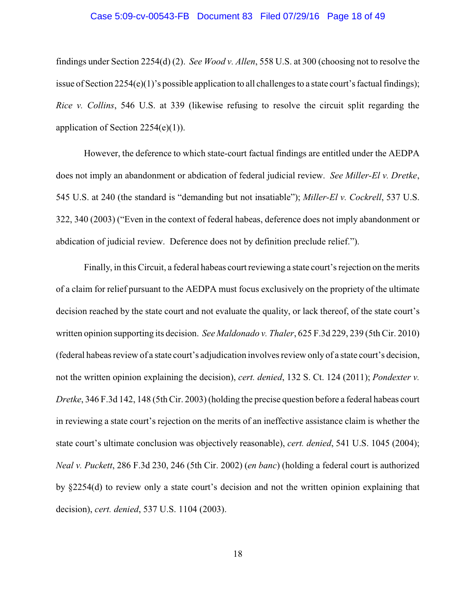#### Case 5:09-cv-00543-FB Document 83 Filed 07/29/16 Page 18 of 49

findings under Section 2254(d) (2). *See Wood v. Allen*, 558 U.S. at 300 (choosing not to resolve the issue of Section 2254(e)(1)'s possible application to all challenges to a state court's factual findings); *Rice v. Collins*, 546 U.S. at 339 (likewise refusing to resolve the circuit split regarding the application of Section 2254(e)(1)).

However, the deference to which state-court factual findings are entitled under the AEDPA does not imply an abandonment or abdication of federal judicial review. *See Miller-El v. Dretke*, 545 U.S. at 240 (the standard is "demanding but not insatiable"); *Miller-El v. Cockrell*, 537 U.S. 322, 340 (2003) ("Even in the context of federal habeas, deference does not imply abandonment or abdication of judicial review. Deference does not by definition preclude relief.").

Finally, in this Circuit, a federal habeas court reviewing a state court's rejection on the merits of a claim for relief pursuant to the AEDPA must focus exclusively on the propriety of the ultimate decision reached by the state court and not evaluate the quality, or lack thereof, of the state court's written opinion supporting its decision. *See Maldonado v. Thaler*, 625 F.3d 229, 239 (5th Cir. 2010) (federal habeas review of a state court's adjudication involves review only of a state court's decision, not the written opinion explaining the decision), *cert. denied*, 132 S. Ct. 124 (2011); *Pondexter v. Dretke*, 346 F.3d 142, 148 (5th Cir. 2003) (holding the precise question before a federal habeas court in reviewing a state court's rejection on the merits of an ineffective assistance claim is whether the state court's ultimate conclusion was objectively reasonable), *cert. denied*, 541 U.S. 1045 (2004); *Neal v. Puckett*, 286 F.3d 230, 246 (5th Cir. 2002) (*en banc*) (holding a federal court is authorized by §2254(d) to review only a state court's decision and not the written opinion explaining that decision), *cert. denied*, 537 U.S. 1104 (2003).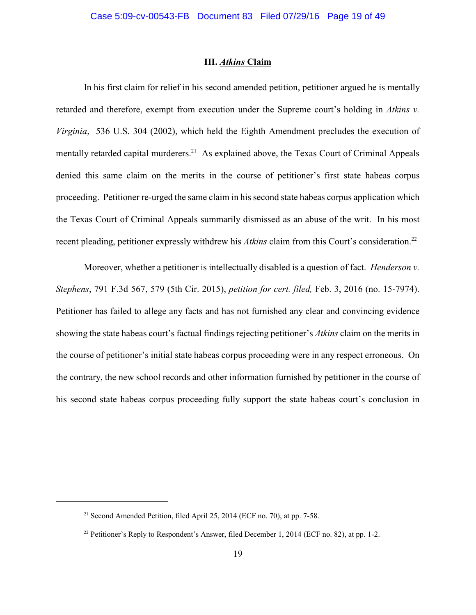### **III.** *Atkins* **Claim**

In his first claim for relief in his second amended petition, petitioner argued he is mentally retarded and therefore, exempt from execution under the Supreme court's holding in *Atkins v. Virginia*, 536 U.S. 304 (2002), which held the Eighth Amendment precludes the execution of mentally retarded capital murderers.<sup>21</sup> As explained above, the Texas Court of Criminal Appeals denied this same claim on the merits in the course of petitioner's first state habeas corpus proceeding. Petitioner re-urged the same claim in his second state habeas corpus application which the Texas Court of Criminal Appeals summarily dismissed as an abuse of the writ. In his most recent pleading, petitioner expressly withdrew his *Atkins* claim from this Court's consideration.<sup>22</sup>

Moreover, whether a petitioner is intellectually disabled is a question of fact. *Henderson v. Stephens*, 791 F.3d 567, 579 (5th Cir. 2015), *petition for cert. filed,* Feb. 3, 2016 (no. 15-7974). Petitioner has failed to allege any facts and has not furnished any clear and convincing evidence showing the state habeas court's factual findings rejecting petitioner's *Atkins* claim on the merits in the course of petitioner's initial state habeas corpus proceeding were in any respect erroneous. On the contrary, the new school records and other information furnished by petitioner in the course of his second state habeas corpus proceeding fully support the state habeas court's conclusion in

<sup>&</sup>lt;sup>21</sup> Second Amended Petition, filed April 25, 2014 (ECF no. 70), at pp. 7-58.

<sup>&</sup>lt;sup>22</sup> Petitioner's Reply to Respondent's Answer, filed December 1, 2014 (ECF no. 82), at pp. 1-2.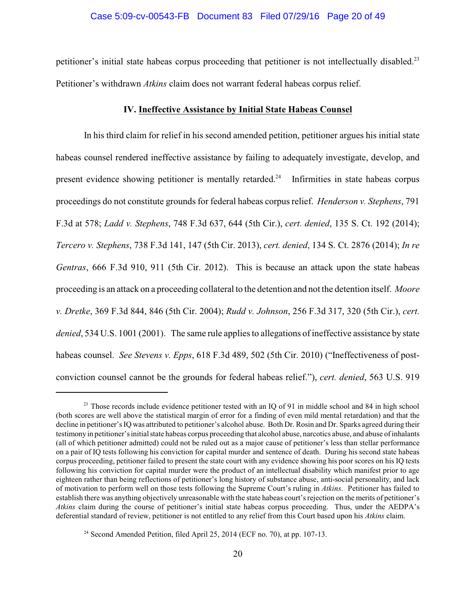# Case 5:09-cv-00543-FB Document 83 Filed 07/29/16 Page 20 of 49

petitioner's initial state habeas corpus proceeding that petitioner is not intellectually disabled.<sup>23</sup> Petitioner's withdrawn *Atkins* claim does not warrant federal habeas corpus relief.

### **IV. Ineffective Assistance by Initial State Habeas Counsel**

In his third claim for relief in his second amended petition, petitioner argues his initial state habeas counsel rendered ineffective assistance by failing to adequately investigate, develop, and present evidence showing petitioner is mentally retarded.<sup>24</sup> Infirmities in state habeas corpus proceedings do not constitute grounds for federal habeas corpus relief. *Henderson v. Stephens*, 791 F.3d at 578; *Ladd v. Stephens*, 748 F.3d 637, 644 (5th Cir.), *cert. denied*, 135 S. Ct. 192 (2014); *Tercero v. Stephens*, 738 F.3d 141, 147 (5th Cir. 2013), *cert. denied*, 134 S. Ct. 2876 (2014); *In re Gentras*, 666 F.3d 910, 911 (5th Cir. 2012). This is because an attack upon the state habeas proceeding is an attack on a proceeding collateral to the detention and not the detention itself. *Moore v. Dretke*, 369 F.3d 844, 846 (5th Cir. 2004); *Rudd v. Johnson*, 256 F.3d 317, 320 (5th Cir.), *cert. denied*, 534 U.S. 1001 (2001). The same rule applies to allegations of ineffective assistance by state habeas counsel. *See Stevens v. Epps*, 618 F.3d 489, 502 (5th Cir. 2010) ("Ineffectiveness of postconviction counsel cannot be the grounds for federal habeas relief."), *cert. denied*, 563 U.S. 919

 $23$  Those records include evidence petitioner tested with an IQ of 91 in middle school and 84 in high school (both scores are well above the statistical margin of error for a finding of even mild mental retardation) and that the decline in petitioner'sIQ was attributed to petitioner's alcohol abuse. Both Dr. Rosin and Dr. Sparks agreed during their testimony in petitioner'sinitial state habeas corpus proceeding that alcohol abuse, narcotics abuse, and abuse of inhalants (all of which petitioner admitted) could not be ruled out as a major cause of petitioner's less than stellar performance on a pair of IQ tests following his conviction for capital murder and sentence of death. During his second state habeas corpus proceeding, petitioner failed to present the state court with any evidence showing his poor scores on his IQ tests following his conviction for capital murder were the product of an intellectual disability which manifest prior to age eighteen rather than being reflections of petitioner's long history of substance abuse, anti-social personality, and lack of motivation to perform well on those tests following the Supreme Court's ruling in *Atkins*. Petitioner has failed to establish there was anything objectively unreasonable with the state habeas court's rejection on the merits of petitioner's *Atkins* claim during the course of petitioner's initial state habeas corpus proceeding. Thus, under the AEDPA's deferential standard of review, petitioner is not entitled to any relief from this Court based upon his *Atkins* claim.

<sup>&</sup>lt;sup>24</sup> Second Amended Petition, filed April 25, 2014 (ECF no. 70), at pp. 107-13.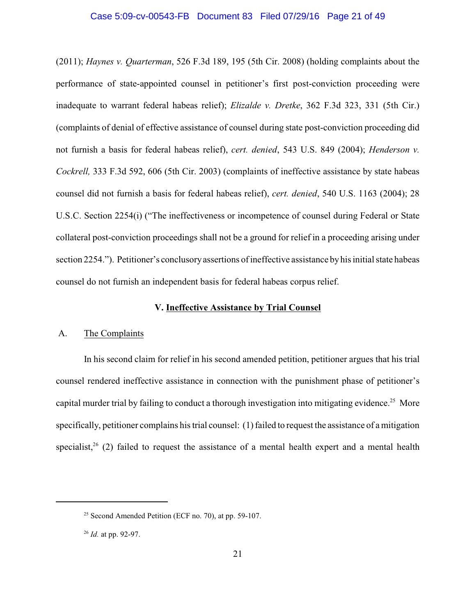#### Case 5:09-cv-00543-FB Document 83 Filed 07/29/16 Page 21 of 49

(2011); *Haynes v. Quarterman*, 526 F.3d 189, 195 (5th Cir. 2008) (holding complaints about the performance of state-appointed counsel in petitioner's first post-conviction proceeding were inadequate to warrant federal habeas relief); *Elizalde v. Dretke*, 362 F.3d 323, 331 (5th Cir.) (complaints of denial of effective assistance of counsel during state post-conviction proceeding did not furnish a basis for federal habeas relief), *cert. denied*, 543 U.S. 849 (2004); *Henderson v. Cockrell,* 333 F.3d 592, 606 (5th Cir. 2003) (complaints of ineffective assistance by state habeas counsel did not furnish a basis for federal habeas relief), *cert. denied*, 540 U.S. 1163 (2004); 28 U.S.C. Section 2254(i) ("The ineffectiveness or incompetence of counsel during Federal or State collateral post-conviction proceedings shall not be a ground for relief in a proceeding arising under section 2254."). Petitioner's conclusoryassertions of ineffective assistance byhis initial state habeas counsel do not furnish an independent basis for federal habeas corpus relief.

# **V. Ineffective Assistance by Trial Counsel**

# A. The Complaints

In his second claim for relief in his second amended petition, petitioner argues that his trial counsel rendered ineffective assistance in connection with the punishment phase of petitioner's capital murder trial by failing to conduct a thorough investigation into mitigating evidence.<sup>25</sup> More specifically, petitioner complains his trial counsel: (1) failed to request the assistance of a mitigation specialist,  $26$  (2) failed to request the assistance of a mental health expert and a mental health

 $25$  Second Amended Petition (ECF no. 70), at pp. 59-107.

<sup>&</sup>lt;sup>26</sup> *Id.* at pp. 92-97.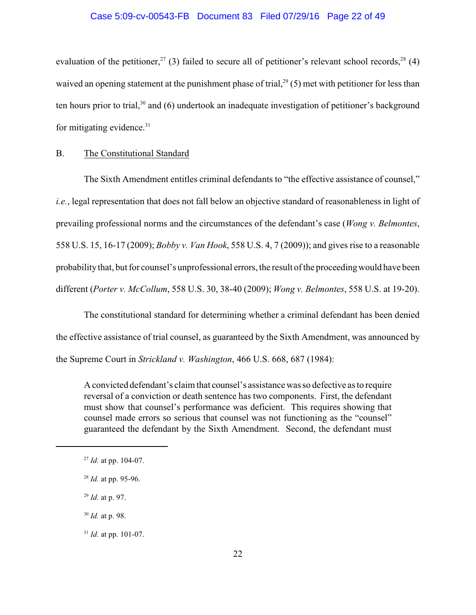#### Case 5:09-cv-00543-FB Document 83 Filed 07/29/16 Page 22 of 49

evaluation of the petitioner,  $27$  (3) failed to secure all of petitioner's relevant school records,  $28$  (4) waived an opening statement at the punishment phase of trial,  $29(5)$  met with petitioner for less than ten hours prior to trial, $30$  and (6) undertook an inadequate investigation of petitioner's background for mitigating evidence.<sup>31</sup>

## B. The Constitutional Standard

The Sixth Amendment entitles criminal defendants to "the effective assistance of counsel," *i.e.*, legal representation that does not fall below an objective standard of reasonableness in light of prevailing professional norms and the circumstances of the defendant's case (*Wong v. Belmontes*, 558 U.S. 15, 16-17 (2009); *Bobby v. Van Hook*, 558 U.S. 4, 7 (2009)); and gives rise to a reasonable probability that, but for counsel's unprofessional errors, the result of the proceeding would have been different (*Porter v. McCollum*, 558 U.S. 30, 38-40 (2009); *Wong v. Belmontes*, 558 U.S. at 19-20).

The constitutional standard for determining whether a criminal defendant has been denied the effective assistance of trial counsel, as guaranteed by the Sixth Amendment, was announced by the Supreme Court in *Strickland v. Washington*, 466 U.S. 668, 687 (1984):

A convicted defendant's claim that counsel's assistancewas so defective as to require reversal of a conviction or death sentence has two components. First, the defendant must show that counsel's performance was deficient. This requires showing that counsel made errors so serious that counsel was not functioning as the "counsel" guaranteed the defendant by the Sixth Amendment. Second, the defendant must

<sup>&</sup>lt;sup>27</sup> Id. at pp. 104-07.

 $^{28}$  *Id.* at pp. 95-96.

<sup>&</sup>lt;sup>29</sup> *Id.* at p. 97.

<sup>&</sup>lt;sup>30</sup> *Id.* at p. 98.

<sup>&</sup>lt;sup>31</sup> *Id.* at pp. 101-07.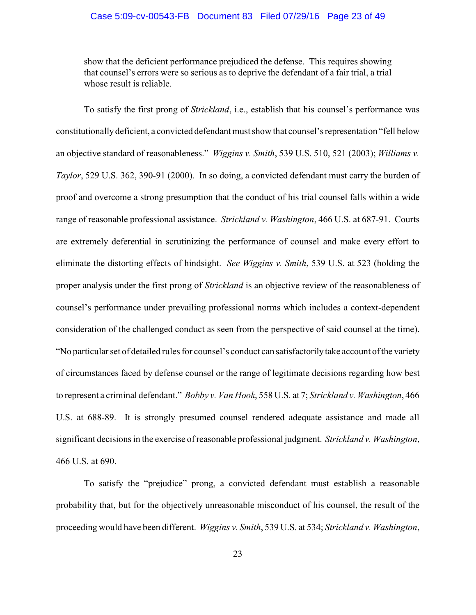### Case 5:09-cv-00543-FB Document 83 Filed 07/29/16 Page 23 of 49

show that the deficient performance prejudiced the defense. This requires showing that counsel's errors were so serious as to deprive the defendant of a fair trial, a trial whose result is reliable.

To satisfy the first prong of *Strickland*, i.e., establish that his counsel's performance was constitutionally deficient, a convicted defendant must show that counsel's representation "fell below an objective standard of reasonableness." *Wiggins v. Smith*, 539 U.S. 510, 521 (2003); *Williams v. Taylor*, 529 U.S. 362, 390-91 (2000). In so doing, a convicted defendant must carry the burden of proof and overcome a strong presumption that the conduct of his trial counsel falls within a wide range of reasonable professional assistance. *Strickland v. Washington*, 466 U.S. at 687-91. Courts are extremely deferential in scrutinizing the performance of counsel and make every effort to eliminate the distorting effects of hindsight. *See Wiggins v. Smith*, 539 U.S. at 523 (holding the proper analysis under the first prong of *Strickland* is an objective review of the reasonableness of counsel's performance under prevailing professional norms which includes a context-dependent consideration of the challenged conduct as seen from the perspective of said counsel at the time). "No particular set of detailed rules for counsel's conduct can satisfactorilytake account of the variety of circumstances faced by defense counsel or the range of legitimate decisions regarding how best to represent a criminal defendant." *Bobby v. Van Hook*, 558 U.S. at 7; *Strickland v. Washington*, 466 U.S. at 688-89. It is strongly presumed counsel rendered adequate assistance and made all significant decisions in the exercise of reasonable professional judgment. *Strickland v. Washington*, 466 U.S. at 690.

To satisfy the "prejudice" prong, a convicted defendant must establish a reasonable probability that, but for the objectively unreasonable misconduct of his counsel, the result of the proceeding would have been different. *Wiggins v. Smith*, 539 U.S. at 534; *Strickland v. Washington*,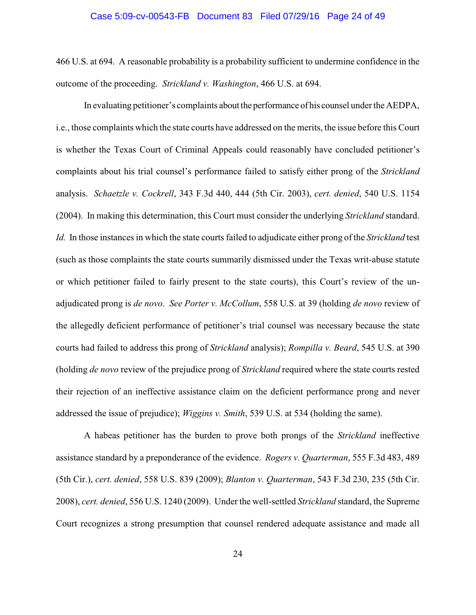# Case 5:09-cv-00543-FB Document 83 Filed 07/29/16 Page 24 of 49

466 U.S. at 694. A reasonable probability is a probability sufficient to undermine confidence in the outcome of the proceeding. *Strickland v. Washington*, 466 U.S. at 694.

In evaluating petitioner's complaints about the performance of his counsel under the AEDPA, i.e., those complaints which the state courts have addressed on the merits, the issue before this Court is whether the Texas Court of Criminal Appeals could reasonably have concluded petitioner's complaints about his trial counsel's performance failed to satisfy either prong of the *Strickland* analysis. *Schaetzle v. Cockrell*, 343 F.3d 440, 444 (5th Cir. 2003), *cert. denied*, 540 U.S. 1154 (2004). In making this determination, this Court must consider the underlying *Strickland* standard. *Id.* In those instances in which the state courts failed to adjudicate either prong of the *Strickland* test (such as those complaints the state courts summarily dismissed under the Texas writ-abuse statute or which petitioner failed to fairly present to the state courts), this Court's review of the unadjudicated prong is *de novo*. *See Porter v. McCollum*, 558 U.S. at 39 (holding *de novo* review of the allegedly deficient performance of petitioner's trial counsel was necessary because the state courts had failed to address this prong of *Strickland* analysis); *Rompilla v. Beard*, 545 U.S. at 390 (holding *de novo* review of the prejudice prong of *Strickland* required where the state courts rested their rejection of an ineffective assistance claim on the deficient performance prong and never addressed the issue of prejudice); *Wiggins v. Smith*, 539 U.S. at 534 (holding the same).

A habeas petitioner has the burden to prove both prongs of the *Strickland* ineffective assistance standard by a preponderance of the evidence. *Rogers v. Quarterman*, 555 F.3d 483, 489 (5th Cir.), *cert. denied*, 558 U.S. 839 (2009); *Blanton v. Quarterman*, 543 F.3d 230, 235 (5th Cir. 2008), *cert. denied*, 556 U.S. 1240 (2009). Under the well-settled *Strickland* standard, the Supreme Court recognizes a strong presumption that counsel rendered adequate assistance and made all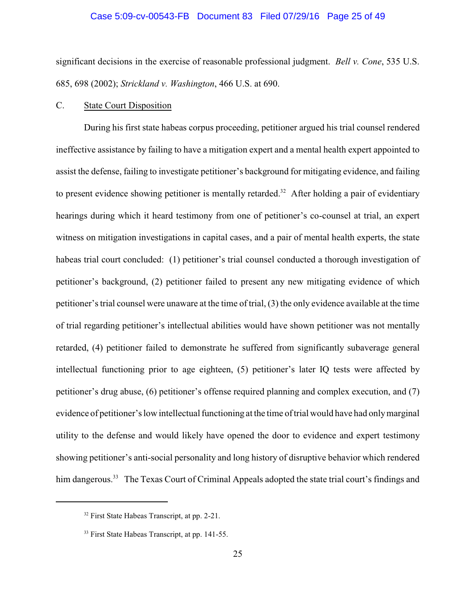#### Case 5:09-cv-00543-FB Document 83 Filed 07/29/16 Page 25 of 49

significant decisions in the exercise of reasonable professional judgment. *Bell v. Cone*, 535 U.S. 685, 698 (2002); *Strickland v. Washington*, 466 U.S. at 690.

### C. State Court Disposition

During his first state habeas corpus proceeding, petitioner argued his trial counsel rendered ineffective assistance by failing to have a mitigation expert and a mental health expert appointed to assist the defense, failing to investigate petitioner's background for mitigating evidence, and failing to present evidence showing petitioner is mentally retarded.<sup>32</sup> After holding a pair of evidentiary hearings during which it heard testimony from one of petitioner's co-counsel at trial, an expert witness on mitigation investigations in capital cases, and a pair of mental health experts, the state habeas trial court concluded: (1) petitioner's trial counsel conducted a thorough investigation of petitioner's background, (2) petitioner failed to present any new mitigating evidence of which petitioner's trial counsel were unaware at the time of trial, (3) the only evidence available at the time of trial regarding petitioner's intellectual abilities would have shown petitioner was not mentally retarded, (4) petitioner failed to demonstrate he suffered from significantly subaverage general intellectual functioning prior to age eighteen, (5) petitioner's later IQ tests were affected by petitioner's drug abuse, (6) petitioner's offense required planning and complex execution, and (7) evidence of petitioner's low intellectual functioning at the time of trial would have had onlymarginal utility to the defense and would likely have opened the door to evidence and expert testimony showing petitioner's anti-social personality and long history of disruptive behavior which rendered him dangerous.<sup>33</sup> The Texas Court of Criminal Appeals adopted the state trial court's findings and

 $32$  First State Habeas Transcript, at pp. 2-21.

 $33$  First State Habeas Transcript, at pp. 141-55.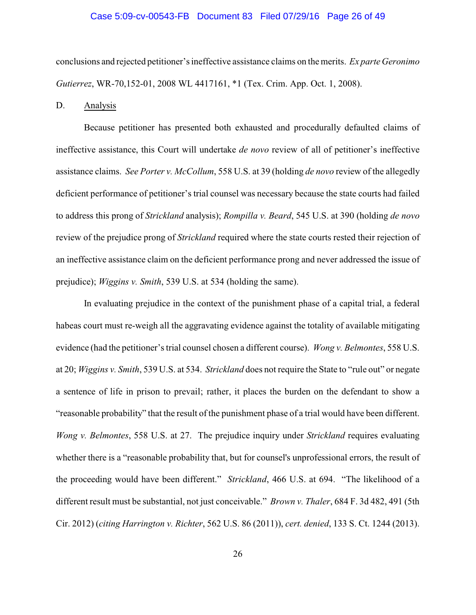#### Case 5:09-cv-00543-FB Document 83 Filed 07/29/16 Page 26 of 49

conclusions and rejected petitioner's ineffective assistance claims on the merits. *Ex parte Geronimo Gutierrez*, WR-70,152-01, 2008 WL 4417161, \*1 (Tex. Crim. App. Oct. 1, 2008).

#### D. Analysis

Because petitioner has presented both exhausted and procedurally defaulted claims of ineffective assistance, this Court will undertake *de novo* review of all of petitioner's ineffective assistance claims. *See Porter v. McCollum*, 558 U.S. at 39 (holding *de novo* review of the allegedly deficient performance of petitioner's trial counsel was necessary because the state courts had failed to address this prong of *Strickland* analysis); *Rompilla v. Beard*, 545 U.S. at 390 (holding *de novo* review of the prejudice prong of *Strickland* required where the state courts rested their rejection of an ineffective assistance claim on the deficient performance prong and never addressed the issue of prejudice); *Wiggins v. Smith*, 539 U.S. at 534 (holding the same).

In evaluating prejudice in the context of the punishment phase of a capital trial, a federal habeas court must re-weigh all the aggravating evidence against the totality of available mitigating evidence (had the petitioner's trial counsel chosen a different course). *Wong v. Belmontes*, 558 U.S. at 20; *Wiggins v. Smith*, 539 U.S. at 534. *Strickland* does not require the State to "rule out" or negate a sentence of life in prison to prevail; rather, it places the burden on the defendant to show a "reasonable probability" that the result of the punishment phase of a trial would have been different. *Wong v. Belmontes*, 558 U.S. at 27. The prejudice inquiry under *Strickland* requires evaluating whether there is a "reasonable probability that, but for counsel's unprofessional errors, the result of the proceeding would have been different." *Strickland*, 466 U.S. at 694. "The likelihood of a different result must be substantial, not just conceivable." *Brown v. Thaler*, 684 F. 3d 482, 491 (5th Cir. 2012) (*citing Harrington v. Richter*, 562 U.S. 86 (2011)), *cert. denied*, 133 S. Ct. 1244 (2013).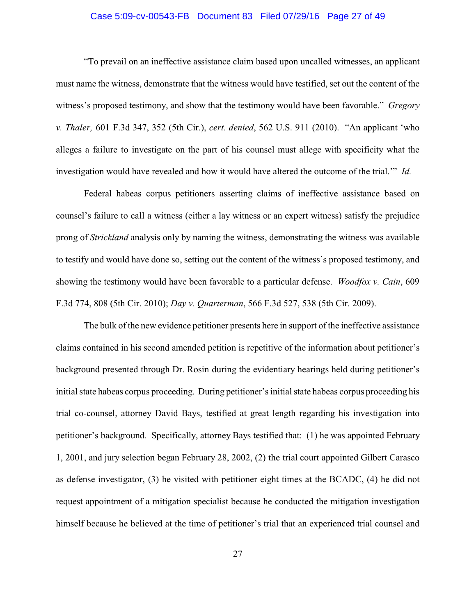### Case 5:09-cv-00543-FB Document 83 Filed 07/29/16 Page 27 of 49

"To prevail on an ineffective assistance claim based upon uncalled witnesses, an applicant must name the witness, demonstrate that the witness would have testified, set out the content of the witness's proposed testimony, and show that the testimony would have been favorable." *Gregory v. Thaler,* 601 F.3d 347, 352 (5th Cir.), *cert. denied*, 562 U.S. 911 (2010). "An applicant 'who alleges a failure to investigate on the part of his counsel must allege with specificity what the investigation would have revealed and how it would have altered the outcome of the trial.'" *Id.*

Federal habeas corpus petitioners asserting claims of ineffective assistance based on counsel's failure to call a witness (either a lay witness or an expert witness) satisfy the prejudice prong of *Strickland* analysis only by naming the witness, demonstrating the witness was available to testify and would have done so, setting out the content of the witness's proposed testimony, and showing the testimony would have been favorable to a particular defense. *Woodfox v. Cain*, 609 F.3d 774, 808 (5th Cir. 2010); *Day v. Quarterman*, 566 F.3d 527, 538 (5th Cir. 2009).

The bulk of the new evidence petitioner presents here in support of the ineffective assistance claims contained in his second amended petition is repetitive of the information about petitioner's background presented through Dr. Rosin during the evidentiary hearings held during petitioner's initial state habeas corpus proceeding. During petitioner's initial state habeas corpus proceeding his trial co-counsel, attorney David Bays, testified at great length regarding his investigation into petitioner's background. Specifically, attorney Bays testified that: (1) he was appointed February 1, 2001, and jury selection began February 28, 2002, (2) the trial court appointed Gilbert Carasco as defense investigator, (3) he visited with petitioner eight times at the BCADC, (4) he did not request appointment of a mitigation specialist because he conducted the mitigation investigation himself because he believed at the time of petitioner's trial that an experienced trial counsel and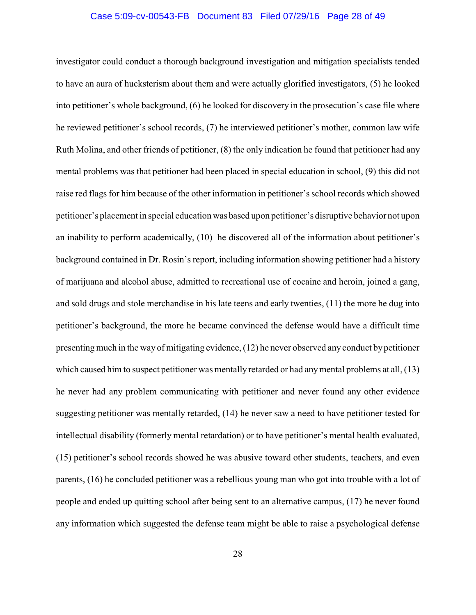#### Case 5:09-cv-00543-FB Document 83 Filed 07/29/16 Page 28 of 49

investigator could conduct a thorough background investigation and mitigation specialists tended to have an aura of hucksterism about them and were actually glorified investigators, (5) he looked into petitioner's whole background, (6) he looked for discovery in the prosecution's case file where he reviewed petitioner's school records, (7) he interviewed petitioner's mother, common law wife Ruth Molina, and other friends of petitioner, (8) the only indication he found that petitioner had any mental problems was that petitioner had been placed in special education in school, (9) this did not raise red flags for him because of the other information in petitioner's school records which showed petitioner's placement in special education was based upon petitioner's disruptive behavior not upon an inability to perform academically, (10) he discovered all of the information about petitioner's background contained in Dr. Rosin's report, including information showing petitioner had a history of marijuana and alcohol abuse, admitted to recreational use of cocaine and heroin, joined a gang, and sold drugs and stole merchandise in his late teens and early twenties, (11) the more he dug into petitioner's background, the more he became convinced the defense would have a difficult time presenting much in the way of mitigating evidence, (12) he never observed any conduct bypetitioner which caused him to suspect petitioner was mentally retarded or had anymental problems at all, (13) he never had any problem communicating with petitioner and never found any other evidence suggesting petitioner was mentally retarded, (14) he never saw a need to have petitioner tested for intellectual disability (formerly mental retardation) or to have petitioner's mental health evaluated, (15) petitioner's school records showed he was abusive toward other students, teachers, and even parents, (16) he concluded petitioner was a rebellious young man who got into trouble with a lot of people and ended up quitting school after being sent to an alternative campus, (17) he never found any information which suggested the defense team might be able to raise a psychological defense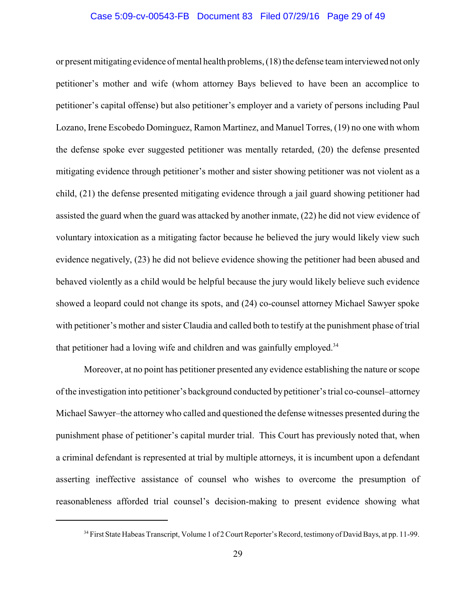#### Case 5:09-cv-00543-FB Document 83 Filed 07/29/16 Page 29 of 49

or present mitigating evidence of mental health problems, (18) the defense team interviewed not only petitioner's mother and wife (whom attorney Bays believed to have been an accomplice to petitioner's capital offense) but also petitioner's employer and a variety of persons including Paul Lozano, Irene Escobedo Dominguez, Ramon Martinez, and Manuel Torres, (19) no one with whom the defense spoke ever suggested petitioner was mentally retarded, (20) the defense presented mitigating evidence through petitioner's mother and sister showing petitioner was not violent as a child, (21) the defense presented mitigating evidence through a jail guard showing petitioner had assisted the guard when the guard was attacked by another inmate, (22) he did not view evidence of voluntary intoxication as a mitigating factor because he believed the jury would likely view such evidence negatively, (23) he did not believe evidence showing the petitioner had been abused and behaved violently as a child would be helpful because the jury would likely believe such evidence showed a leopard could not change its spots, and (24) co-counsel attorney Michael Sawyer spoke with petitioner's mother and sister Claudia and called both to testify at the punishment phase of trial that petitioner had a loving wife and children and was gainfully employed.<sup>34</sup>

Moreover, at no point has petitioner presented any evidence establishing the nature or scope of the investigation into petitioner's background conducted by petitioner's trial co-counsel–attorney Michael Sawyer–the attorney who called and questioned the defense witnesses presented during the punishment phase of petitioner's capital murder trial. This Court has previously noted that, when a criminal defendant is represented at trial by multiple attorneys, it is incumbent upon a defendant asserting ineffective assistance of counsel who wishes to overcome the presumption of reasonableness afforded trial counsel's decision-making to present evidence showing what

<sup>&</sup>lt;sup>34</sup> First State Habeas Transcript, Volume 1 of 2 Court Reporter's Record, testimony of David Bays, at pp. 11-99.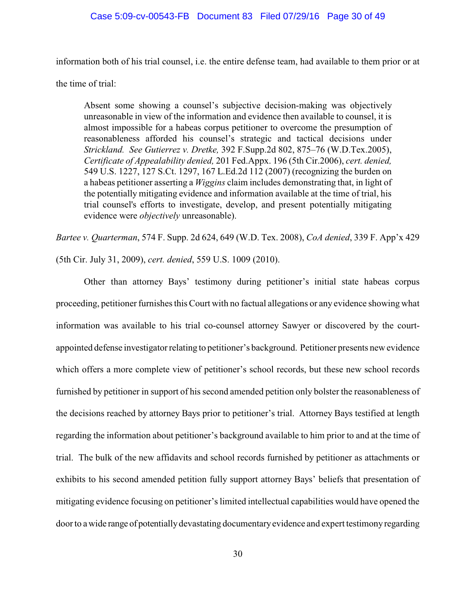# Case 5:09-cv-00543-FB Document 83 Filed 07/29/16 Page 30 of 49

information both of his trial counsel, i.e. the entire defense team, had available to them prior or at

the time of trial:

Absent some showing a counsel's subjective decision-making was objectively unreasonable in view of the information and evidence then available to counsel, it is almost impossible for a habeas corpus petitioner to overcome the presumption of reasonableness afforded his counsel's strategic and tactical decisions under *Strickland. See Gutierrez v. Dretke,* 392 F.Supp.2d 802, 875–76 (W.D.Tex.2005), *Certificate of Appealability denied,* 201 Fed.Appx. 196 (5th Cir.2006), *cert. denied,* 549 U.S. 1227, 127 S.Ct. 1297, 167 L.Ed.2d 112 (2007) (recognizing the burden on a habeas petitioner asserting a *Wiggins* claim includes demonstrating that, in light of the potentially mitigating evidence and information available at the time of trial, his trial counsel's efforts to investigate, develop, and present potentially mitigating evidence were *objectively* unreasonable).

*Bartee v. Quarterman*, 574 F. Supp. 2d 624, 649 (W.D. Tex. 2008), *CoA denied*, 339 F. App'x 429

(5th Cir. July 31, 2009), *cert. denied*, 559 U.S. 1009 (2010).

Other than attorney Bays' testimony during petitioner's initial state habeas corpus proceeding, petitioner furnishes this Court with no factual allegations or any evidence showing what information was available to his trial co-counsel attorney Sawyer or discovered by the courtappointed defense investigator relating to petitioner's background. Petitioner presents new evidence which offers a more complete view of petitioner's school records, but these new school records furnished by petitioner in support of his second amended petition only bolster the reasonableness of the decisions reached by attorney Bays prior to petitioner's trial. Attorney Bays testified at length regarding the information about petitioner's background available to him prior to and at the time of trial. The bulk of the new affidavits and school records furnished by petitioner as attachments or exhibits to his second amended petition fully support attorney Bays' beliefs that presentation of mitigating evidence focusing on petitioner's limited intellectual capabilities would have opened the door to a wide range of potentially devastating documentary evidence and expert testimony regarding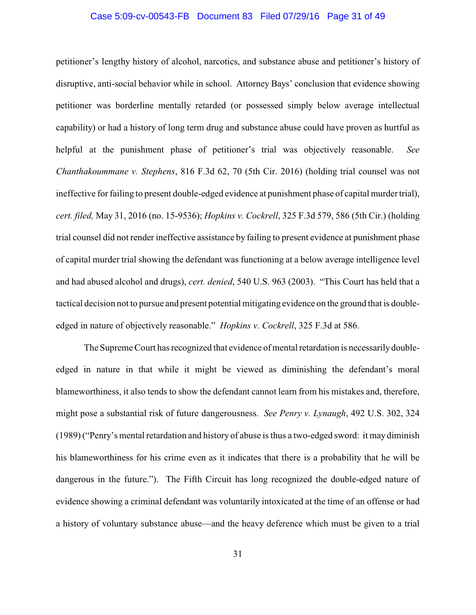#### Case 5:09-cv-00543-FB Document 83 Filed 07/29/16 Page 31 of 49

petitioner's lengthy history of alcohol, narcotics, and substance abuse and petitioner's history of disruptive, anti-social behavior while in school. Attorney Bays' conclusion that evidence showing petitioner was borderline mentally retarded (or possessed simply below average intellectual capability) or had a history of long term drug and substance abuse could have proven as hurtful as helpful at the punishment phase of petitioner's trial was objectively reasonable. *See Chanthakoummane v. Stephens*, 816 F.3d 62, 70 (5th Cir. 2016) (holding trial counsel was not ineffective for failing to present double-edged evidence at punishment phase of capital murder trial), *cert. filed,* May 31, 2016 (no. 15-9536); *Hopkins v. Cockrell*, 325 F.3d 579, 586 (5th Cir.) (holding trial counsel did not render ineffective assistance by failing to present evidence at punishment phase of capital murder trial showing the defendant was functioning at a below average intelligence level and had abused alcohol and drugs), *cert. denied*, 540 U.S. 963 (2003). "This Court has held that a tactical decision not to pursue and present potential mitigating evidence on the ground that is doubleedged in nature of objectively reasonable." *Hopkins v. Cockrell*, 325 F.3d at 586.

The Supreme Court has recognized that evidence of mental retardation is necessarily doubleedged in nature in that while it might be viewed as diminishing the defendant's moral blameworthiness, it also tends to show the defendant cannot learn from his mistakes and, therefore, might pose a substantial risk of future dangerousness. *See Penry v. Lynaugh*, 492 U.S. 302, 324 (1989) ("Penry's mental retardation and history of abuse is thus a two-edged sword: it may diminish his blameworthiness for his crime even as it indicates that there is a probability that he will be dangerous in the future."). The Fifth Circuit has long recognized the double-edged nature of evidence showing a criminal defendant was voluntarily intoxicated at the time of an offense or had a history of voluntary substance abuse—and the heavy deference which must be given to a trial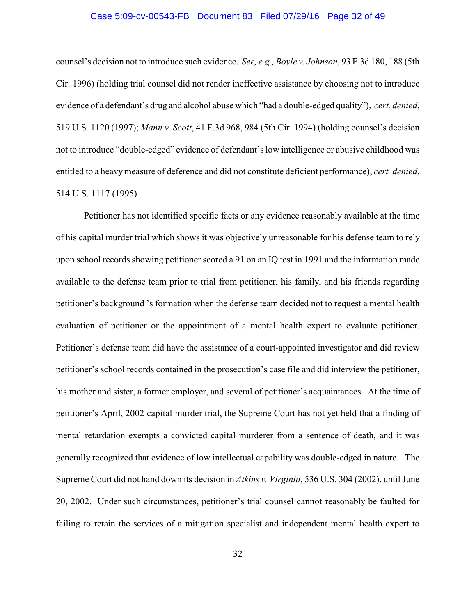### Case 5:09-cv-00543-FB Document 83 Filed 07/29/16 Page 32 of 49

counsel's decision not to introduce such evidence. *See, e.g., Boyle v. Johnson*, 93 F.3d 180, 188 (5th Cir. 1996) (holding trial counsel did not render ineffective assistance by choosing not to introduce evidence of a defendant's drug and alcohol abuse which "had a double-edged quality"), *cert. denied*, 519 U.S. 1120 (1997); *Mann v. Scott*, 41 F.3d 968, 984 (5th Cir. 1994) (holding counsel's decision not to introduce "double-edged" evidence of defendant's low intelligence or abusive childhood was entitled to a heavymeasure of deference and did not constitute deficient performance), *cert. denied*, 514 U.S. 1117 (1995).

Petitioner has not identified specific facts or any evidence reasonably available at the time of his capital murder trial which shows it was objectively unreasonable for his defense team to rely upon school records showing petitioner scored a 91 on an IQ test in 1991 and the information made available to the defense team prior to trial from petitioner, his family, and his friends regarding petitioner's background 's formation when the defense team decided not to request a mental health evaluation of petitioner or the appointment of a mental health expert to evaluate petitioner. Petitioner's defense team did have the assistance of a court-appointed investigator and did review petitioner's school records contained in the prosecution's case file and did interview the petitioner, his mother and sister, a former employer, and several of petitioner's acquaintances. At the time of petitioner's April, 2002 capital murder trial, the Supreme Court has not yet held that a finding of mental retardation exempts a convicted capital murderer from a sentence of death, and it was generally recognized that evidence of low intellectual capability was double-edged in nature. The Supreme Court did not hand down its decision in *Atkins v. Virginia*, 536 U.S. 304 (2002), until June 20, 2002. Under such circumstances, petitioner's trial counsel cannot reasonably be faulted for failing to retain the services of a mitigation specialist and independent mental health expert to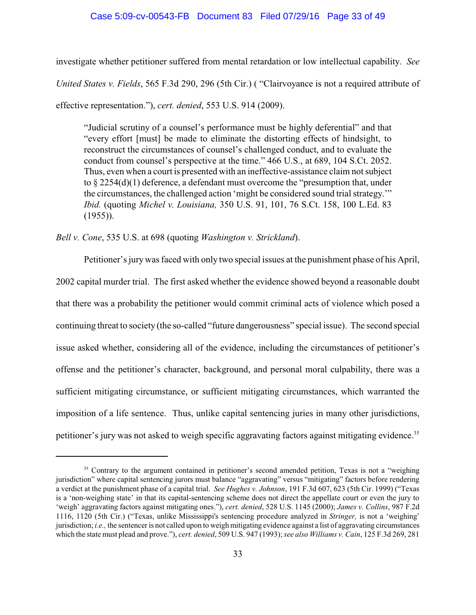investigate whether petitioner suffered from mental retardation or low intellectual capability. *See United States v. Fields*, 565 F.3d 290, 296 (5th Cir.) ( "Clairvoyance is not a required attribute of effective representation."), *cert. denied*, 553 U.S. 914 (2009).

"Judicial scrutiny of a counsel's performance must be highly deferential" and that "every effort [must] be made to eliminate the distorting effects of hindsight, to reconstruct the circumstances of counsel's challenged conduct, and to evaluate the conduct from counsel's perspective at the time." 466 U.S., at 689, 104 S.Ct. 2052. Thus, even when a court is presented with an ineffective-assistance claim not subject to  $\S 2254(d)(1)$  deference, a defendant must overcome the "presumption that, under the circumstances, the challenged action 'might be considered sound trial strategy.'" *Ibid.* (quoting *Michel v. Louisiana,* 350 U.S. 91, 101, 76 S.Ct. 158, 100 L.Ed. 83  $(1955)$ ).

*Bell v. Cone*, 535 U.S. at 698 (quoting *Washington v. Strickland*).

Petitioner's jury was faced with only two special issues at the punishment phase of his April, 2002 capital murder trial. The first asked whether the evidence showed beyond a reasonable doubt that there was a probability the petitioner would commit criminal acts of violence which posed a continuing threat to society (the so-called "future dangerousness" special issue). The second special issue asked whether, considering all of the evidence, including the circumstances of petitioner's offense and the petitioner's character, background, and personal moral culpability, there was a sufficient mitigating circumstance, or sufficient mitigating circumstances, which warranted the imposition of a life sentence. Thus, unlike capital sentencing juries in many other jurisdictions, petitioner's jury was not asked to weigh specific aggravating factors against mitigating evidence.<sup>35</sup>

<sup>&</sup>lt;sup>35</sup> Contrary to the argument contained in petitioner's second amended petition, Texas is not a "weighing jurisdiction" where capital sentencing jurors must balance "aggravating" versus "mitigating" factors before rendering a verdict at the punishment phase of a capital trial. *See Hughes v. Johnson*, 191 F.3d 607, 623 (5th Cir. 1999) ("Texas is a 'non-weighing state' in that its capital-sentencing scheme does not direct the appellate court or even the jury to 'weigh' aggravating factors against mitigating ones."), *cert. denied*, 528 U.S. 1145 (2000); *James v. Collins*, 987 F.2d 1116, 1120 (5th Cir.) ("Texas, unlike Mississippi's sentencing procedure analyzed in *Stringer,* is not a 'weighing' jurisdiction; *i.e.,* the sentencer is not called upon to weigh mitigating evidence against a list of aggravating circumstances which the state must plead and prove."), *cert. denied*, 509 U.S. 947 (1993); *see also Williams v. Cain*, 125 F.3d 269, 281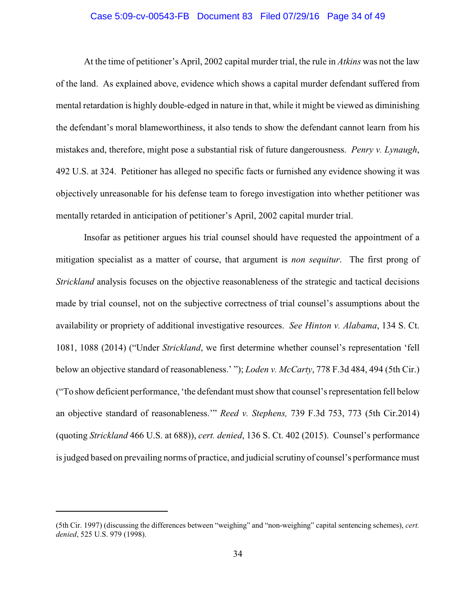### Case 5:09-cv-00543-FB Document 83 Filed 07/29/16 Page 34 of 49

At the time of petitioner's April, 2002 capital murder trial, the rule in *Atkins* was not the law of the land. As explained above, evidence which shows a capital murder defendant suffered from mental retardation is highly double-edged in nature in that, while it might be viewed as diminishing the defendant's moral blameworthiness, it also tends to show the defendant cannot learn from his mistakes and, therefore, might pose a substantial risk of future dangerousness. *Penry v. Lynaugh*, 492 U.S. at 324. Petitioner has alleged no specific facts or furnished any evidence showing it was objectively unreasonable for his defense team to forego investigation into whether petitioner was mentally retarded in anticipation of petitioner's April, 2002 capital murder trial.

Insofar as petitioner argues his trial counsel should have requested the appointment of a mitigation specialist as a matter of course, that argument is *non sequitur*. The first prong of *Strickland* analysis focuses on the objective reasonableness of the strategic and tactical decisions made by trial counsel, not on the subjective correctness of trial counsel's assumptions about the availability or propriety of additional investigative resources. *See Hinton v. Alabama*, 134 S. Ct. 1081, 1088 (2014) ("Under *Strickland*, we first determine whether counsel's representation 'fell below an objective standard of reasonableness.' "); *Loden v. McCarty*, 778 F.3d 484, 494 (5th Cir.) ("To show deficient performance, 'the defendant must show that counsel's representation fell below an objective standard of reasonableness.'" *Reed v. Stephens,* 739 F.3d 753, 773 (5th Cir.2014) (quoting *Strickland* 466 U.S. at 688)), *cert. denied*, 136 S. Ct. 402 (2015). Counsel's performance is judged based on prevailing norms of practice, and judicial scrutiny of counsel's performance must

<sup>(5</sup>th Cir. 1997) (discussing the differences between "weighing" and "non-weighing" capital sentencing schemes), *cert. denied*, 525 U.S. 979 (1998).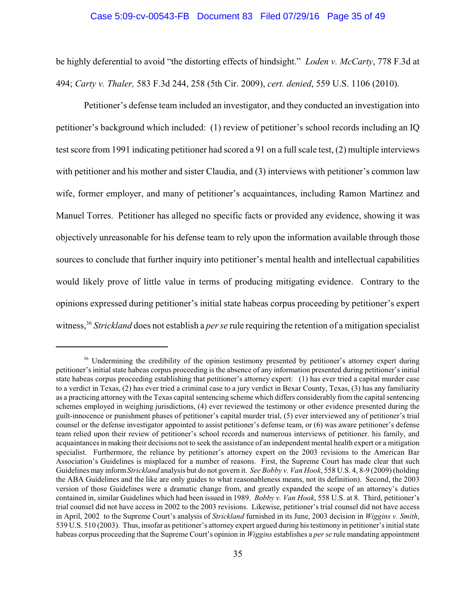#### Case 5:09-cv-00543-FB Document 83 Filed 07/29/16 Page 35 of 49

be highly deferential to avoid "the distorting effects of hindsight." *Loden v. McCarty*, 778 F.3d at 494; *Carty v. Thaler,* 583 F.3d 244, 258 (5th Cir. 2009), *cert. denied*, 559 U.S. 1106 (2010).

Petitioner's defense team included an investigator, and they conducted an investigation into petitioner's background which included: (1) review of petitioner's school records including an IQ test score from 1991 indicating petitioner had scored a 91 on a full scale test, (2) multiple interviews with petitioner and his mother and sister Claudia, and (3) interviews with petitioner's common law wife, former employer, and many of petitioner's acquaintances, including Ramon Martinez and Manuel Torres. Petitioner has alleged no specific facts or provided any evidence, showing it was objectively unreasonable for his defense team to rely upon the information available through those sources to conclude that further inquiry into petitioner's mental health and intellectual capabilities would likely prove of little value in terms of producing mitigating evidence. Contrary to the opinions expressed during petitioner's initial state habeas corpus proceeding by petitioner's expert witness,<sup>36</sup> Strickland does not establish a *per se* rule requiring the retention of a mitigation specialist

<sup>&</sup>lt;sup>36</sup> Undermining the credibility of the opinion testimony presented by petitioner's attorney expert during petitioner's initial state habeas corpus proceeding is the absence of any information presented during petitioner's initial state habeas corpus proceeding establishing that petitioner's attorney expert: (1) has ever tried a capital murder case to a verdict in Texas, (2) has ever tried a criminal case to a jury verdict in Bexar County, Texas, (3) has any familiarity as a practicing attorney with the Texas capital sentencing scheme which differs considerably from the capital sentencing schemes employed in weighing jurisdictions, (4) ever reviewed the testimony or other evidence presented during the guilt-innocence or punishment phases of petitioner's capital murder trial, (5) ever interviewed any of petitioner's trial counsel or the defense investigator appointed to assist petitioner's defense team, or (6) was aware petitioner's defense team relied upon their review of petitioner's school records and numerous interviews of petitioner. his family, and acquaintances in making their decisions not to seek the assistance of an independent mental health expert or a mitigation specialist. Furthermore, the reliance by petitioner's attorney expert on the 2003 revisions to the American Bar Association's Guidelines is misplaced for a number of reasons. First, the Supreme Court has made clear that such Guidelines may inform *Strickland* analysis but do not govern it. *See Bobby v. Van Hook*, 558 U.S. 4, 8-9 (2009) (holding the ABA Guidelines and the like are only guides to what reasonableness means, not its definition). Second, the 2003 version of those Guidelines were a dramatic change from, and greatly expanded the scope of an attorney's duties contained in, similar Guidelines which had been issued in 1989. *Bobby v. Van Hook*, 558 U.S. at 8. Third, petitioner's trial counsel did not have access in 2002 to the 2003 revisions. Likewise, petitioner's trial counsel did not have access in April, 2002 to the Supreme Court's analysis of *Strickland* furnished in its June, 2003 decision in *Wiggins v. Smith*, 539 U.S. 510 (2003). Thus, insofar as petitioner's attorney expert argued during histestimony in petitioner'sinitial state habeas corpus proceeding that the Supreme Court's opinion in *Wiggins* establishes a *per se* rule mandating appointment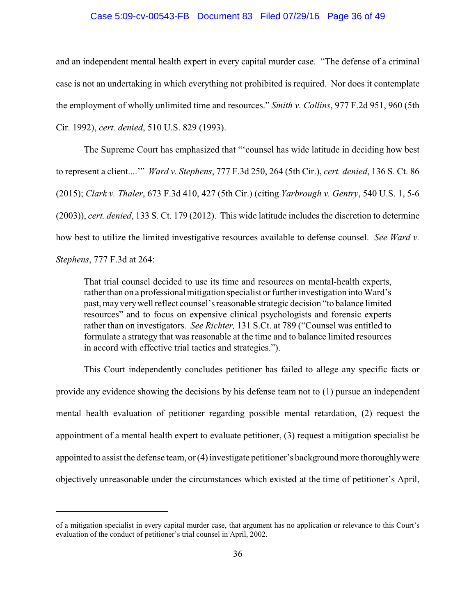#### Case 5:09-cv-00543-FB Document 83 Filed 07/29/16 Page 36 of 49

and an independent mental health expert in every capital murder case. "The defense of a criminal case is not an undertaking in which everything not prohibited is required. Nor does it contemplate the employment of wholly unlimited time and resources." *Smith v. Collins*, 977 F.2d 951, 960 (5th Cir. 1992), *cert. denied*, 510 U.S. 829 (1993).

The Supreme Court has emphasized that "'counsel has wide latitude in deciding how best to represent a client....'" *Ward v. Stephens*, 777 F.3d 250, 264 (5th Cir.), *cert. denied*, 136 S. Ct. 86 (2015); *Clark v. Thaler*, 673 F.3d 410, 427 (5th Cir.) (citing *Yarbrough v. Gentry*, 540 U.S. 1, 5-6 (2003)), *cert. denied*, 133 S. Ct. 179 (2012). This wide latitude includes the discretion to determine how best to utilize the limited investigative resources available to defense counsel. *See Ward v. Stephens*, 777 F.3d at 264:

That trial counsel decided to use its time and resources on mental-health experts, rather than on a professional mitigation specialist or further investigation into Ward's past, mayverywell reflect counsel's reasonable strategic decision "to balance limited resources" and to focus on expensive clinical psychologists and forensic experts rather than on investigators. *See Richter,* 131 S.Ct. at 789 ("Counsel was entitled to formulate a strategy that was reasonable at the time and to balance limited resources in accord with effective trial tactics and strategies.").

This Court independently concludes petitioner has failed to allege any specific facts or provide any evidence showing the decisions by his defense team not to (1) pursue an independent mental health evaluation of petitioner regarding possible mental retardation, (2) request the appointment of a mental health expert to evaluate petitioner, (3) request a mitigation specialist be appointed to assist the defense team, or (4) investigate petitioner's background more thoroughlywere objectively unreasonable under the circumstances which existed at the time of petitioner's April,

of a mitigation specialist in every capital murder case, that argument has no application or relevance to this Court's evaluation of the conduct of petitioner's trial counsel in April, 2002.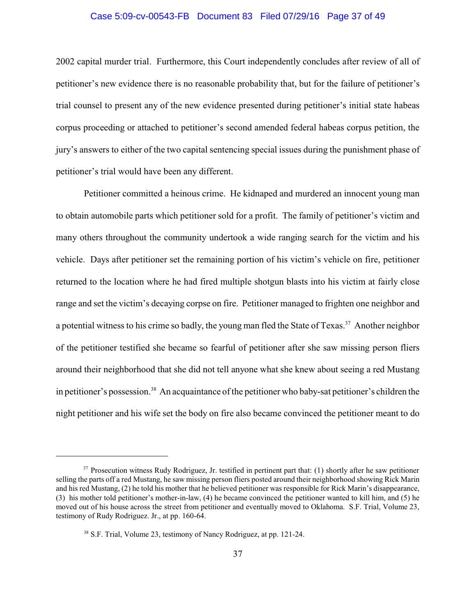### Case 5:09-cv-00543-FB Document 83 Filed 07/29/16 Page 37 of 49

2002 capital murder trial. Furthermore, this Court independently concludes after review of all of petitioner's new evidence there is no reasonable probability that, but for the failure of petitioner's trial counsel to present any of the new evidence presented during petitioner's initial state habeas corpus proceeding or attached to petitioner's second amended federal habeas corpus petition, the jury's answers to either of the two capital sentencing special issues during the punishment phase of petitioner's trial would have been any different.

Petitioner committed a heinous crime. He kidnaped and murdered an innocent young man to obtain automobile parts which petitioner sold for a profit. The family of petitioner's victim and many others throughout the community undertook a wide ranging search for the victim and his vehicle. Days after petitioner set the remaining portion of his victim's vehicle on fire, petitioner returned to the location where he had fired multiple shotgun blasts into his victim at fairly close range and set the victim's decaying corpse on fire. Petitioner managed to frighten one neighbor and a potential witness to his crime so badly, the young man fled the State of Texas.<sup>37</sup> Another neighbor of the petitioner testified she became so fearful of petitioner after she saw missing person fliers around their neighborhood that she did not tell anyone what she knew about seeing a red Mustang in petitioner's possession.<sup>38</sup> An acquaintance of the petitioner who baby-sat petitioner's children the night petitioner and his wife set the body on fire also became convinced the petitioner meant to do

 $37$  Prosecution witness Rudy Rodriguez, Jr. testified in pertinent part that: (1) shortly after he saw petitioner selling the parts off a red Mustang, he saw missing person fliers posted around their neighborhood showing Rick Marin and his red Mustang, (2) he told his mother that he believed petitioner was responsible for Rick Marin's disappearance, (3) his mother told petitioner's mother-in-law, (4) he became convinced the petitioner wanted to kill him, and (5) he moved out of his house across the street from petitioner and eventually moved to Oklahoma. S.F. Trial, Volume 23, testimony of Rudy Rodriguez. Jr., at pp. 160-64.

<sup>&</sup>lt;sup>38</sup> S.F. Trial, Volume 23, testimony of Nancy Rodriguez, at pp. 121-24.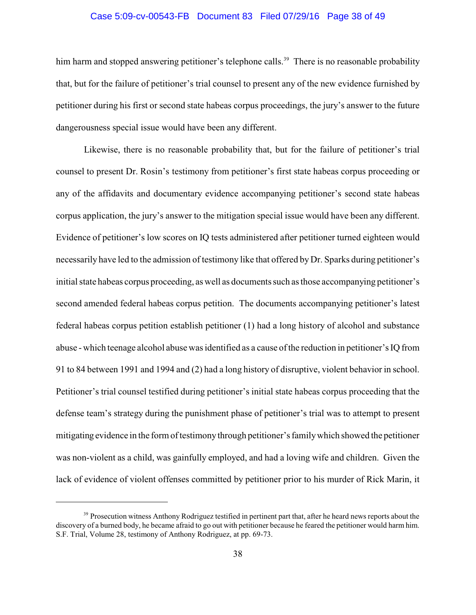### Case 5:09-cv-00543-FB Document 83 Filed 07/29/16 Page 38 of 49

him harm and stopped answering petitioner's telephone calls.<sup>39</sup> There is no reasonable probability that, but for the failure of petitioner's trial counsel to present any of the new evidence furnished by petitioner during his first or second state habeas corpus proceedings, the jury's answer to the future dangerousness special issue would have been any different.

Likewise, there is no reasonable probability that, but for the failure of petitioner's trial counsel to present Dr. Rosin's testimony from petitioner's first state habeas corpus proceeding or any of the affidavits and documentary evidence accompanying petitioner's second state habeas corpus application, the jury's answer to the mitigation special issue would have been any different. Evidence of petitioner's low scores on IQ tests administered after petitioner turned eighteen would necessarily have led to the admission of testimony like that offered by Dr. Sparks during petitioner's initial state habeas corpus proceeding, as well as documents such as those accompanying petitioner's second amended federal habeas corpus petition. The documents accompanying petitioner's latest federal habeas corpus petition establish petitioner (1) had a long history of alcohol and substance abuse - which teenage alcohol abuse was identified as a cause of the reduction in petitioner's IQ from 91 to 84 between 1991 and 1994 and (2) had a long history of disruptive, violent behavior in school. Petitioner's trial counsel testified during petitioner's initial state habeas corpus proceeding that the defense team's strategy during the punishment phase of petitioner's trial was to attempt to present mitigating evidence in the form of testimonythrough petitioner's familywhich showed the petitioner was non-violent as a child, was gainfully employed, and had a loving wife and children. Given the lack of evidence of violent offenses committed by petitioner prior to his murder of Rick Marin, it

<sup>&</sup>lt;sup>39</sup> Prosecution witness Anthony Rodriguez testified in pertinent part that, after he heard news reports about the discovery of a burned body, he became afraid to go out with petitioner because he feared the petitioner would harm him. S.F. Trial, Volume 28, testimony of Anthony Rodriguez, at pp. 69-73.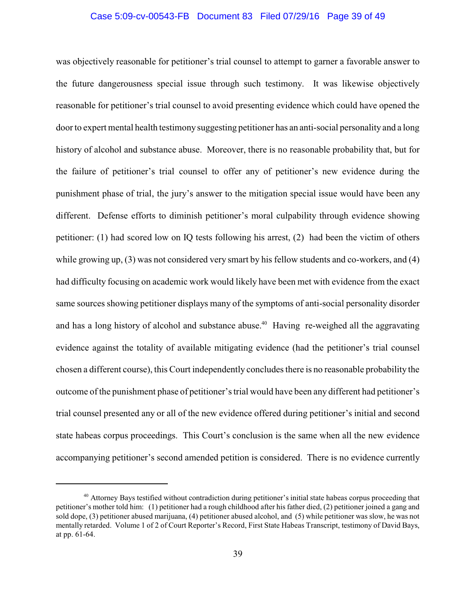### Case 5:09-cv-00543-FB Document 83 Filed 07/29/16 Page 39 of 49

was objectively reasonable for petitioner's trial counsel to attempt to garner a favorable answer to the future dangerousness special issue through such testimony. It was likewise objectively reasonable for petitioner's trial counsel to avoid presenting evidence which could have opened the door to expert mental health testimony suggesting petitioner has an anti-social personality and a long history of alcohol and substance abuse. Moreover, there is no reasonable probability that, but for the failure of petitioner's trial counsel to offer any of petitioner's new evidence during the punishment phase of trial, the jury's answer to the mitigation special issue would have been any different. Defense efforts to diminish petitioner's moral culpability through evidence showing petitioner: (1) had scored low on IQ tests following his arrest, (2) had been the victim of others while growing up, (3) was not considered very smart by his fellow students and co-workers, and (4) had difficulty focusing on academic work would likely have been met with evidence from the exact same sources showing petitioner displays many of the symptoms of anti-social personality disorder and has a long history of alcohol and substance abuse.<sup>40</sup> Having re-weighed all the aggravating evidence against the totality of available mitigating evidence (had the petitioner's trial counsel chosen a different course), this Court independently concludes there is no reasonable probability the outcome of the punishment phase of petitioner's trial would have been any different had petitioner's trial counsel presented any or all of the new evidence offered during petitioner's initial and second state habeas corpus proceedings. This Court's conclusion is the same when all the new evidence accompanying petitioner's second amended petition is considered. There is no evidence currently

<sup>&</sup>lt;sup>40</sup> Attorney Bays testified without contradiction during petitioner's initial state habeas corpus proceeding that petitioner's mother told him: (1) petitioner had a rough childhood after hisfather died, (2) petitioner joined a gang and sold dope, (3) petitioner abused marijuana, (4) petitioner abused alcohol, and (5) while petitioner was slow, he was not mentally retarded. Volume 1 of 2 of Court Reporter's Record, First State Habeas Transcript, testimony of David Bays, at pp. 61-64.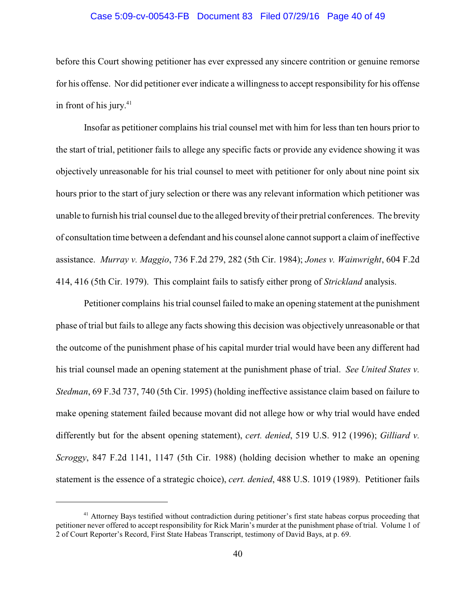### Case 5:09-cv-00543-FB Document 83 Filed 07/29/16 Page 40 of 49

before this Court showing petitioner has ever expressed any sincere contrition or genuine remorse for his offense. Nor did petitioner ever indicate a willingness to accept responsibility for his offense in front of his jury. 41

Insofar as petitioner complains his trial counsel met with him for less than ten hours prior to the start of trial, petitioner fails to allege any specific facts or provide any evidence showing it was objectively unreasonable for his trial counsel to meet with petitioner for only about nine point six hours prior to the start of jury selection or there was any relevant information which petitioner was unable to furnish his trial counsel due to the alleged brevity of their pretrial conferences. The brevity of consultation time between a defendant and his counsel alone cannot support a claim of ineffective assistance. *Murray v. Maggio*, 736 F.2d 279, 282 (5th Cir. 1984); *Jones v. Wainwright*, 604 F.2d 414, 416 (5th Cir. 1979). This complaint fails to satisfy either prong of *Strickland* analysis.

Petitioner complains his trial counsel failed to make an opening statement at the punishment phase of trial but fails to allege any facts showing this decision was objectively unreasonable or that the outcome of the punishment phase of his capital murder trial would have been any different had his trial counsel made an opening statement at the punishment phase of trial. *See United States v. Stedman*, 69 F.3d 737, 740 (5th Cir. 1995) (holding ineffective assistance claim based on failure to make opening statement failed because movant did not allege how or why trial would have ended differently but for the absent opening statement), *cert. denied*, 519 U.S. 912 (1996); *Gilliard v. Scroggy*, 847 F.2d 1141, 1147 (5th Cir. 1988) (holding decision whether to make an opening statement is the essence of a strategic choice), *cert. denied*, 488 U.S. 1019 (1989). Petitioner fails

<sup>&</sup>lt;sup>41</sup> Attorney Bays testified without contradiction during petitioner's first state habeas corpus proceeding that petitioner never offered to accept responsibility for Rick Marin's murder at the punishment phase of trial. Volume 1 of 2 of Court Reporter's Record, First State Habeas Transcript, testimony of David Bays, at p. 69.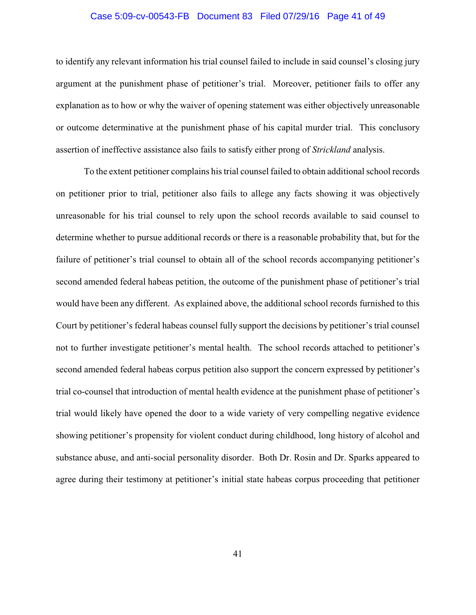#### Case 5:09-cv-00543-FB Document 83 Filed 07/29/16 Page 41 of 49

to identify any relevant information his trial counsel failed to include in said counsel's closing jury argument at the punishment phase of petitioner's trial. Moreover, petitioner fails to offer any explanation as to how or why the waiver of opening statement was either objectively unreasonable or outcome determinative at the punishment phase of his capital murder trial. This conclusory assertion of ineffective assistance also fails to satisfy either prong of *Strickland* analysis.

To the extent petitioner complains his trial counsel failed to obtain additional school records on petitioner prior to trial, petitioner also fails to allege any facts showing it was objectively unreasonable for his trial counsel to rely upon the school records available to said counsel to determine whether to pursue additional records or there is a reasonable probability that, but for the failure of petitioner's trial counsel to obtain all of the school records accompanying petitioner's second amended federal habeas petition, the outcome of the punishment phase of petitioner's trial would have been any different. As explained above, the additional school records furnished to this Court by petitioner's federal habeas counsel fully support the decisions by petitioner's trial counsel not to further investigate petitioner's mental health. The school records attached to petitioner's second amended federal habeas corpus petition also support the concern expressed by petitioner's trial co-counsel that introduction of mental health evidence at the punishment phase of petitioner's trial would likely have opened the door to a wide variety of very compelling negative evidence showing petitioner's propensity for violent conduct during childhood, long history of alcohol and substance abuse, and anti-social personality disorder. Both Dr. Rosin and Dr. Sparks appeared to agree during their testimony at petitioner's initial state habeas corpus proceeding that petitioner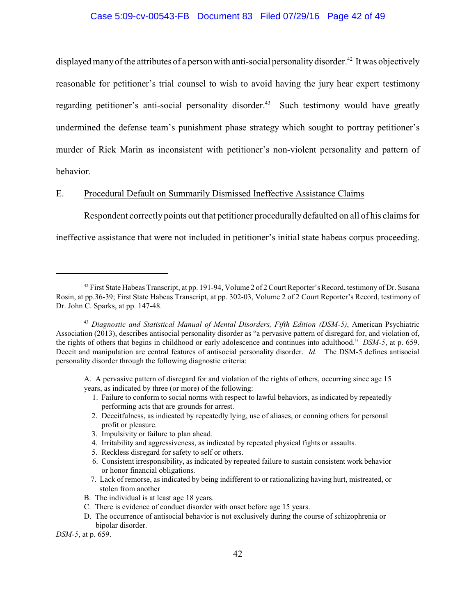### Case 5:09-cv-00543-FB Document 83 Filed 07/29/16 Page 42 of 49

displayed many of the attributes of a person with anti-social personality disorder.<sup>42</sup> It was objectively reasonable for petitioner's trial counsel to wish to avoid having the jury hear expert testimony regarding petitioner's anti-social personality disorder.<sup>43</sup> Such testimony would have greatly undermined the defense team's punishment phase strategy which sought to portray petitioner's murder of Rick Marin as inconsistent with petitioner's non-violent personality and pattern of behavior.

## E. Procedural Default on Summarily Dismissed Ineffective Assistance Claims

Respondent correctly points out that petitioner procedurally defaulted on all of his claims for

ineffective assistance that were not included in petitioner's initial state habeas corpus proceeding.

- A. A pervasive pattern of disregard for and violation of the rights of others, occurring since age 15 years, as indicated by three (or more) of the following:
	- 1. Failure to conform to social norms with respect to lawful behaviors, as indicated by repeatedly performing acts that are grounds for arrest.
	- 2. Deceitfulness, as indicated by repeatedly lying, use of aliases, or conning others for personal profit or pleasure.
	- 3. Impulsivity or failure to plan ahead.
	- 4. Irritability and aggressiveness, as indicated by repeated physical fights or assaults.
	- 5. Reckless disregard for safety to self or others.
	- 6. Consistent irresponsibility, as indicated by repeated failure to sustain consistent work behavior or honor financial obligations.
	- 7. Lack of remorse, as indicated by being indifferent to or rationalizing having hurt, mistreated, or stolen from another
- B. The individual is at least age 18 years.
- C. There is evidence of conduct disorder with onset before age 15 years.
- D. The occurrence of antisocial behavior is not exclusively during the course of schizophrenia or bipolar disorder.

*DSM-5*, at p. 659.

<sup>&</sup>lt;sup>42</sup> First State Habeas Transcript, at pp. 191-94, Volume 2 of 2 Court Reporter's Record, testimony of Dr. Susana Rosin, at pp.36-39; First State Habeas Transcript, at pp. 302-03, Volume 2 of 2 Court Reporter's Record, testimony of Dr. John C. Sparks, at pp. 147-48.

<sup>&</sup>lt;sup>43</sup> Diagnostic and Statistical Manual of Mental Disorders, Fifth Edition (DSM-5), American Psychiatric Association (2013), describes antisocial personality disorder as "a pervasive pattern of disregard for, and violation of, the rights of others that begins in childhood or early adolescence and continues into adulthood." *DSM-5*, at p. 659. Deceit and manipulation are central features of antisocial personality disorder. *Id.* The DSM-5 defines antisocial personality disorder through the following diagnostic criteria: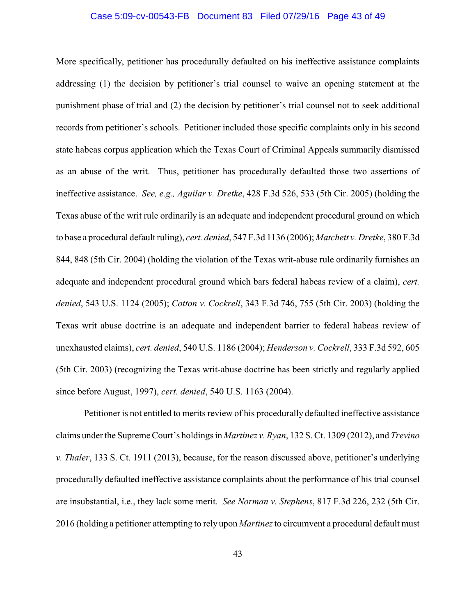#### Case 5:09-cv-00543-FB Document 83 Filed 07/29/16 Page 43 of 49

More specifically, petitioner has procedurally defaulted on his ineffective assistance complaints addressing (1) the decision by petitioner's trial counsel to waive an opening statement at the punishment phase of trial and (2) the decision by petitioner's trial counsel not to seek additional records from petitioner's schools. Petitioner included those specific complaints only in his second state habeas corpus application which the Texas Court of Criminal Appeals summarily dismissed as an abuse of the writ. Thus, petitioner has procedurally defaulted those two assertions of ineffective assistance. *See, e.g., Aguilar v. Dretke*, 428 F.3d 526, 533 (5th Cir. 2005) (holding the Texas abuse of the writ rule ordinarily is an adequate and independent procedural ground on which to base a procedural default ruling), *cert. denied*, 547 F.3d 1136 (2006); *Matchett v. Dretke*, 380 F.3d 844, 848 (5th Cir. 2004) (holding the violation of the Texas writ-abuse rule ordinarily furnishes an adequate and independent procedural ground which bars federal habeas review of a claim), *cert. denied*, 543 U.S. 1124 (2005); *Cotton v. Cockrell*, 343 F.3d 746, 755 (5th Cir. 2003) (holding the Texas writ abuse doctrine is an adequate and independent barrier to federal habeas review of unexhausted claims), *cert. denied*, 540 U.S. 1186 (2004); *Henderson v. Cockrell*, 333 F.3d 592, 605 (5th Cir. 2003) (recognizing the Texas writ-abuse doctrine has been strictly and regularly applied since before August, 1997), *cert. denied*, 540 U.S. 1163 (2004).

Petitioner is not entitled to merits review of his procedurally defaulted ineffective assistance claims under the Supreme Court's holdings in *Martinez v. Ryan*, 132 S. Ct. 1309 (2012), and *Trevino v. Thaler*, 133 S. Ct. 1911 (2013), because, for the reason discussed above, petitioner's underlying procedurally defaulted ineffective assistance complaints about the performance of his trial counsel are insubstantial, i.e., they lack some merit. *See Norman v. Stephens*, 817 F.3d 226, 232 (5th Cir. 2016 (holding a petitioner attempting to rely upon *Martinez*to circumvent a procedural default must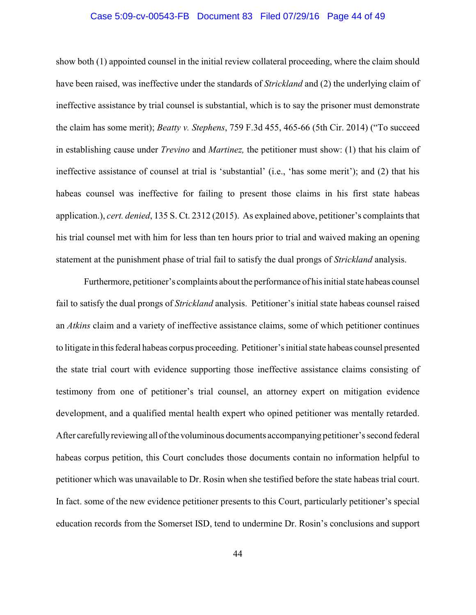### Case 5:09-cv-00543-FB Document 83 Filed 07/29/16 Page 44 of 49

show both (1) appointed counsel in the initial review collateral proceeding, where the claim should have been raised, was ineffective under the standards of *Strickland* and (2) the underlying claim of ineffective assistance by trial counsel is substantial, which is to say the prisoner must demonstrate the claim has some merit); *Beatty v. Stephens*, 759 F.3d 455, 465-66 (5th Cir. 2014) ("To succeed in establishing cause under *Trevino* and *Martinez,* the petitioner must show: (1) that his claim of ineffective assistance of counsel at trial is 'substantial' (i.e., 'has some merit'); and (2) that his habeas counsel was ineffective for failing to present those claims in his first state habeas application.), *cert. denied*, 135 S. Ct. 2312 (2015). As explained above, petitioner's complaints that his trial counsel met with him for less than ten hours prior to trial and waived making an opening statement at the punishment phase of trial fail to satisfy the dual prongs of *Strickland* analysis.

Furthermore, petitioner's complaints about the performance of his initial state habeas counsel fail to satisfy the dual prongs of *Strickland* analysis. Petitioner's initial state habeas counsel raised an *Atkins* claim and a variety of ineffective assistance claims, some of which petitioner continues to litigate in thisfederal habeas corpus proceeding. Petitioner's initial state habeas counsel presented the state trial court with evidence supporting those ineffective assistance claims consisting of testimony from one of petitioner's trial counsel, an attorney expert on mitigation evidence development, and a qualified mental health expert who opined petitioner was mentally retarded. After carefullyreviewing all ofthe voluminous documents accompanying petitioner's second federal habeas corpus petition, this Court concludes those documents contain no information helpful to petitioner which was unavailable to Dr. Rosin when she testified before the state habeas trial court. In fact. some of the new evidence petitioner presents to this Court, particularly petitioner's special education records from the Somerset ISD, tend to undermine Dr. Rosin's conclusions and support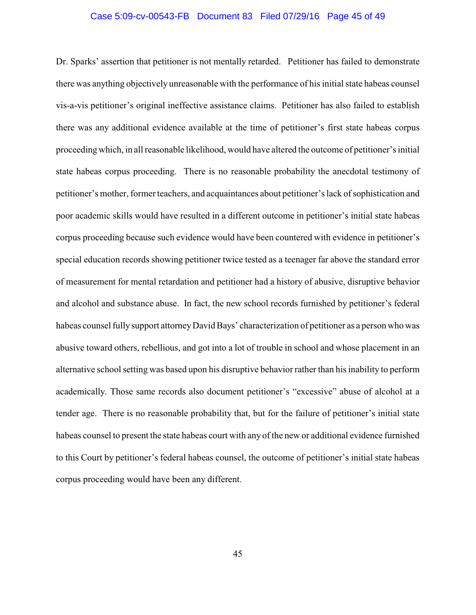#### Case 5:09-cv-00543-FB Document 83 Filed 07/29/16 Page 45 of 49

Dr. Sparks' assertion that petitioner is not mentally retarded. Petitioner has failed to demonstrate there was anything objectively unreasonable with the performance of his initial state habeas counsel vis-a-vis petitioner's original ineffective assistance claims. Petitioner has also failed to establish there was any additional evidence available at the time of petitioner's first state habeas corpus proceeding which, in all reasonable likelihood, would have altered the outcome of petitioner's initial state habeas corpus proceeding. There is no reasonable probability the anecdotal testimony of petitioner's mother, former teachers, and acquaintances about petitioner's lack of sophistication and poor academic skills would have resulted in a different outcome in petitioner's initial state habeas corpus proceeding because such evidence would have been countered with evidence in petitioner's special education records showing petitioner twice tested as a teenager far above the standard error of measurement for mental retardation and petitioner had a history of abusive, disruptive behavior and alcohol and substance abuse. In fact, the new school records furnished by petitioner's federal habeas counsel fully support attorney David Bays' characterization of petitioner as a person who was abusive toward others, rebellious, and got into a lot of trouble in school and whose placement in an alternative school setting was based upon his disruptive behavior rather than his inability to perform academically. Those same records also document petitioner's "excessive" abuse of alcohol at a tender age. There is no reasonable probability that, but for the failure of petitioner's initial state habeas counsel to present the state habeas court with any of the new or additional evidence furnished to this Court by petitioner's federal habeas counsel, the outcome of petitioner's initial state habeas corpus proceeding would have been any different.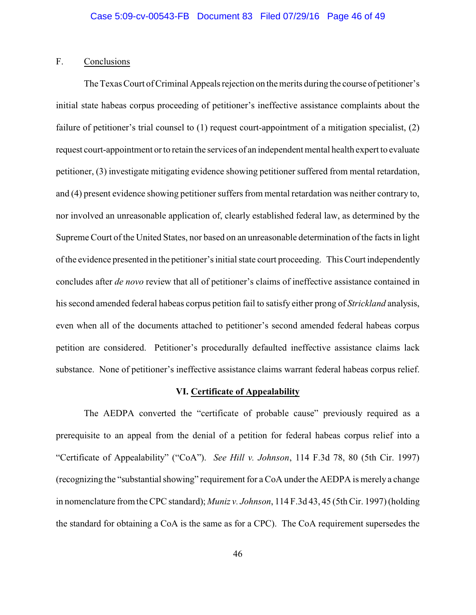## F. Conclusions

The Texas Court of Criminal Appeals rejection on the merits during the course of petitioner's initial state habeas corpus proceeding of petitioner's ineffective assistance complaints about the failure of petitioner's trial counsel to (1) request court-appointment of a mitigation specialist, (2) request court-appointment or to retain the services of an independent mental health expert to evaluate petitioner, (3) investigate mitigating evidence showing petitioner suffered from mental retardation, and (4) present evidence showing petitioner suffers from mental retardation was neither contrary to, nor involved an unreasonable application of, clearly established federal law, as determined by the Supreme Court of the United States, nor based on an unreasonable determination of the facts in light of the evidence presented in the petitioner's initial state court proceeding. This Court independently concludes after *de novo* review that all of petitioner's claims of ineffective assistance contained in his second amended federal habeas corpus petition fail to satisfy either prong of *Strickland* analysis, even when all of the documents attached to petitioner's second amended federal habeas corpus petition are considered. Petitioner's procedurally defaulted ineffective assistance claims lack substance. None of petitioner's ineffective assistance claims warrant federal habeas corpus relief.

#### **VI. Certificate of Appealability**

The AEDPA converted the "certificate of probable cause" previously required as a prerequisite to an appeal from the denial of a petition for federal habeas corpus relief into a "Certificate of Appealability" ("CoA"). *See Hill v. Johnson*, 114 F.3d 78, 80 (5th Cir. 1997) (recognizing the "substantial showing" requirement for a CoA under the AEDPA is merely a change in nomenclature from the CPC standard); *Muniz v. Johnson*, 114 F.3d 43, 45 (5th Cir. 1997) (holding the standard for obtaining a CoA is the same as for a CPC). The CoA requirement supersedes the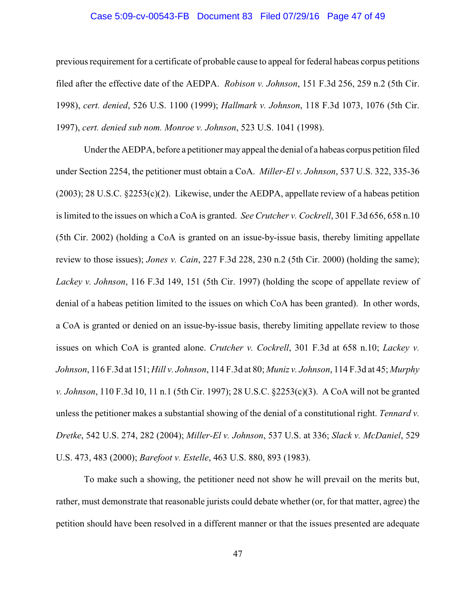### Case 5:09-cv-00543-FB Document 83 Filed 07/29/16 Page 47 of 49

previous requirement for a certificate of probable cause to appeal for federal habeas corpus petitions filed after the effective date of the AEDPA. *Robison v. Johnson*, 151 F.3d 256, 259 n.2 (5th Cir. 1998), *cert. denied*, 526 U.S. 1100 (1999); *Hallmark v. Johnson*, 118 F.3d 1073, 1076 (5th Cir. 1997), *cert. denied sub nom. Monroe v. Johnson*, 523 U.S. 1041 (1998).

Under the AEDPA, before a petitioner may appeal the denial of a habeas corpus petition filed under Section 2254, the petitioner must obtain a CoA. *Miller-El v. Johnson*, 537 U.S. 322, 335-36 (2003); 28 U.S.C. §2253(c)(2). Likewise, under the AEDPA, appellate review of a habeas petition is limited to the issues on which a CoA is granted. *See Crutcher v. Cockrell*, 301 F.3d 656, 658 n.10 (5th Cir. 2002) (holding a CoA is granted on an issue-by-issue basis, thereby limiting appellate review to those issues); *Jones v. Cain*, 227 F.3d 228, 230 n.2 (5th Cir. 2000) (holding the same); *Lackey v. Johnson*, 116 F.3d 149, 151 (5th Cir. 1997) (holding the scope of appellate review of denial of a habeas petition limited to the issues on which CoA has been granted). In other words, a CoA is granted or denied on an issue-by-issue basis, thereby limiting appellate review to those issues on which CoA is granted alone. *Crutcher v. Cockrell*, 301 F.3d at 658 n.10; *Lackey v. Johnson*, 116 F.3d at 151; *Hill v. Johnson*, 114 F.3d at 80; *Muniz v. Johnson*, 114 F.3d at 45; *Murphy v. Johnson*, 110 F.3d 10, 11 n.1 (5th Cir. 1997); 28 U.S.C. §2253(c)(3). A CoA will not be granted unless the petitioner makes a substantial showing of the denial of a constitutional right. *Tennard v. Dretke*, 542 U.S. 274, 282 (2004); *Miller-El v. Johnson*, 537 U.S. at 336; *Slack v. McDaniel*, 529 U.S. 473, 483 (2000); *Barefoot v. Estelle*, 463 U.S. 880, 893 (1983).

To make such a showing, the petitioner need not show he will prevail on the merits but, rather, must demonstrate that reasonable jurists could debate whether (or, for that matter, agree) the petition should have been resolved in a different manner or that the issues presented are adequate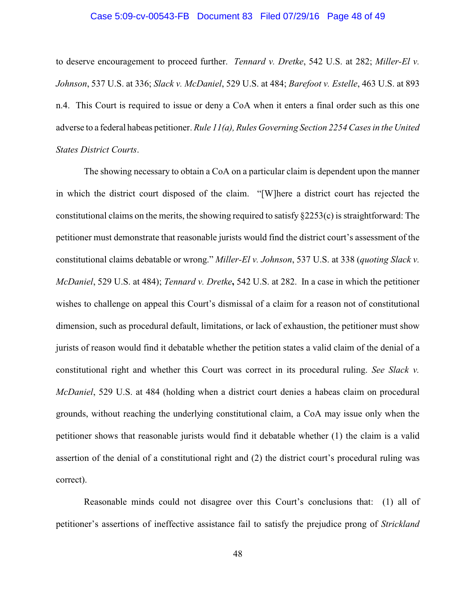#### Case 5:09-cv-00543-FB Document 83 Filed 07/29/16 Page 48 of 49

to deserve encouragement to proceed further. *Tennard v. Dretke*, 542 U.S. at 282; *Miller-El v. Johnson*, 537 U.S. at 336; *Slack v. McDaniel*, 529 U.S. at 484; *Barefoot v. Estelle*, 463 U.S. at 893 n.4. This Court is required to issue or deny a CoA when it enters a final order such as this one adverse to a federal habeas petitioner. *Rule 11(a), Rules Governing Section 2254 Cases in the United States District Courts*.

The showing necessary to obtain a CoA on a particular claim is dependent upon the manner in which the district court disposed of the claim. "[W]here a district court has rejected the constitutional claims on the merits, the showing required to satisfy §2253(c) is straightforward: The petitioner must demonstrate that reasonable jurists would find the district court's assessment of the constitutional claims debatable or wrong." *Miller-El v. Johnson*, 537 U.S. at 338 (*quoting Slack v. McDaniel*, 529 U.S. at 484); *Tennard v. Dretke***,** 542 U.S. at 282. In a case in which the petitioner wishes to challenge on appeal this Court's dismissal of a claim for a reason not of constitutional dimension, such as procedural default, limitations, or lack of exhaustion, the petitioner must show jurists of reason would find it debatable whether the petition states a valid claim of the denial of a constitutional right and whether this Court was correct in its procedural ruling. *See Slack v. McDaniel*, 529 U.S. at 484 (holding when a district court denies a habeas claim on procedural grounds, without reaching the underlying constitutional claim, a CoA may issue only when the petitioner shows that reasonable jurists would find it debatable whether (1) the claim is a valid assertion of the denial of a constitutional right and (2) the district court's procedural ruling was correct).

Reasonable minds could not disagree over this Court's conclusions that: (1) all of petitioner's assertions of ineffective assistance fail to satisfy the prejudice prong of *Strickland*